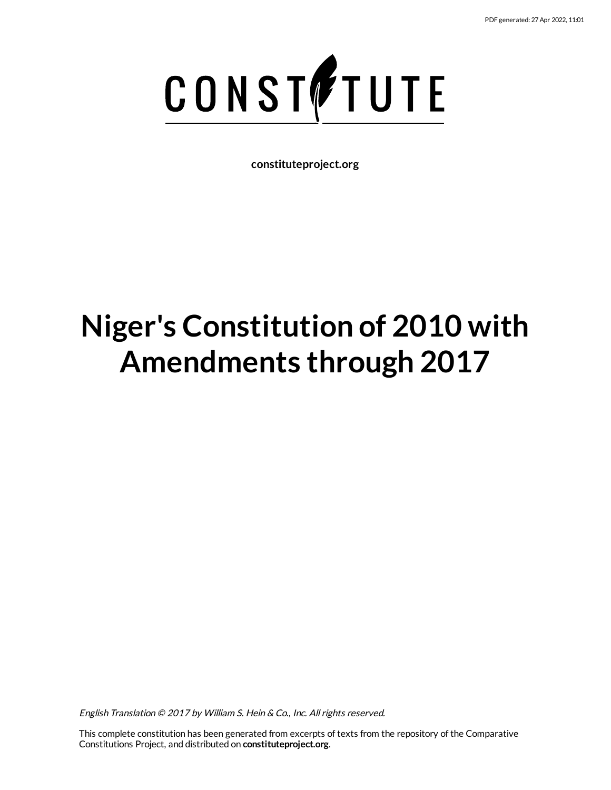

**constituteproject.org**

# **Niger's Constitution of 2010 with Amendments through 2017**

English Translation © 2017 by William S. Hein & Co., Inc. All rights reserved.

This complete constitution has been generated from excerpts of texts from the repository of the Comparative Constitutions Project, and distributed on **constituteproject.org**.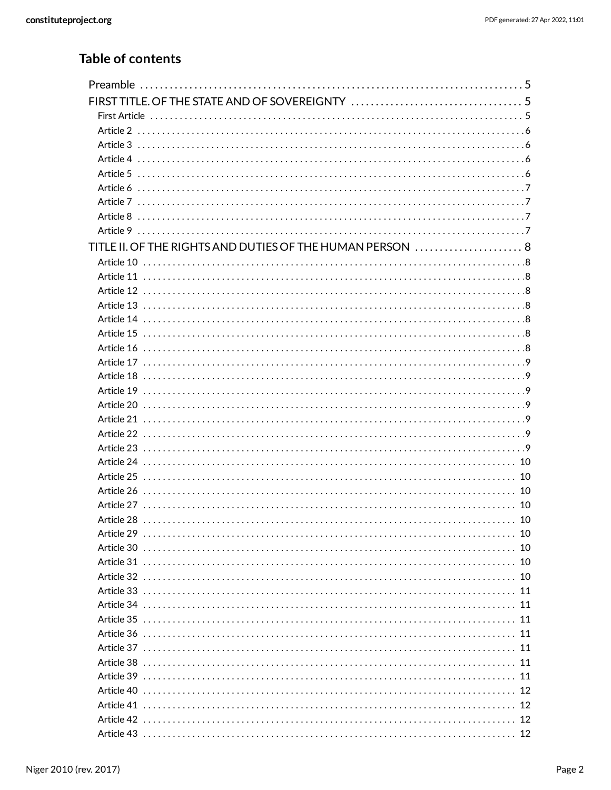## Table of contents

| TITLE II. OF THE RIGHTS AND DUTIES OF THE HUMAN PERSON  8 |    |
|-----------------------------------------------------------|----|
|                                                           |    |
|                                                           |    |
|                                                           |    |
|                                                           |    |
|                                                           |    |
|                                                           |    |
|                                                           |    |
|                                                           |    |
|                                                           |    |
|                                                           |    |
|                                                           |    |
|                                                           |    |
|                                                           |    |
|                                                           |    |
|                                                           |    |
|                                                           |    |
|                                                           |    |
|                                                           |    |
|                                                           |    |
|                                                           | 10 |
|                                                           | 10 |
|                                                           | 10 |
|                                                           |    |
|                                                           |    |
|                                                           | 11 |
|                                                           | 11 |
|                                                           |    |
|                                                           | 11 |
|                                                           |    |
|                                                           | 11 |
|                                                           |    |
|                                                           |    |
|                                                           |    |
| Article 43 ………………………………………………………………………………………… 12          |    |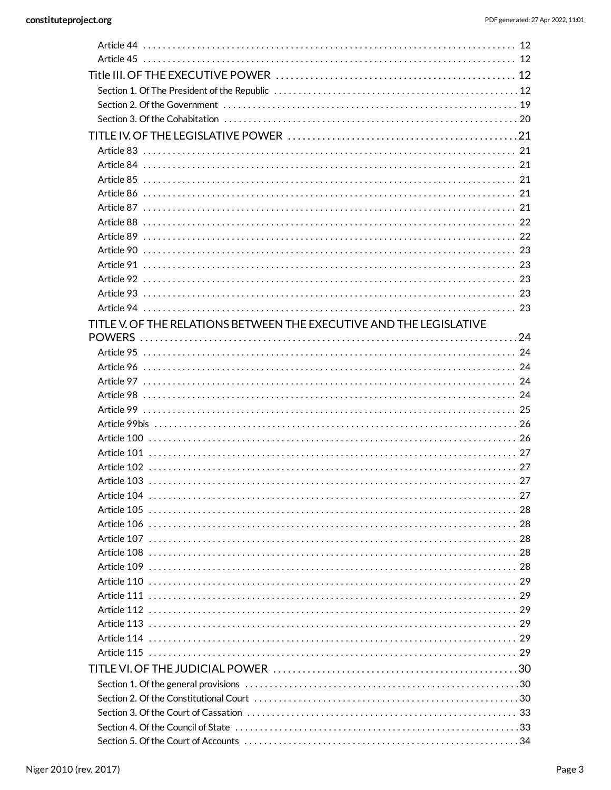| Article 93 ………………………………………………………………………………………… 23 |
|--------------------------------------------------|
|                                                  |
|                                                  |
|                                                  |
|                                                  |
|                                                  |
|                                                  |
| Article 98 ……………………………………………………………………………………… 24  |
|                                                  |
|                                                  |
|                                                  |
|                                                  |
|                                                  |
|                                                  |
|                                                  |
|                                                  |
|                                                  |
|                                                  |
|                                                  |
|                                                  |
|                                                  |
|                                                  |
|                                                  |
|                                                  |
|                                                  |
|                                                  |
|                                                  |
|                                                  |
|                                                  |
|                                                  |
|                                                  |
|                                                  |
|                                                  |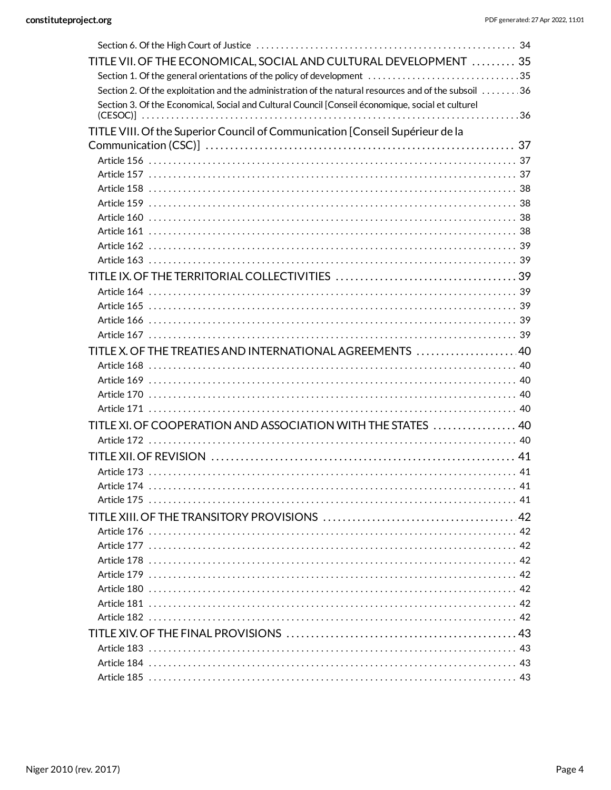| TITLE VII. OF THE ECONOMICAL, SOCIAL AND CULTURAL DEVELOPMENT  35                                    |  |
|------------------------------------------------------------------------------------------------------|--|
| Section 1. Of the general orientations of the policy of development 35                               |  |
| Section 2. Of the exploitation and the administration of the natural resources and of the subsoil 36 |  |
| Section 3. Of the Economical, Social and Cultural Council [Conseil économique, social et culturel    |  |
|                                                                                                      |  |
| TITLE VIII. Of the Superior Council of Communication [Conseil Supérieur de la                        |  |
|                                                                                                      |  |
|                                                                                                      |  |
|                                                                                                      |  |
|                                                                                                      |  |
|                                                                                                      |  |
|                                                                                                      |  |
|                                                                                                      |  |
|                                                                                                      |  |
|                                                                                                      |  |
|                                                                                                      |  |
|                                                                                                      |  |
|                                                                                                      |  |
|                                                                                                      |  |
|                                                                                                      |  |
| TITLE X. OF THE TREATIES AND INTERNATIONAL AGREEMENTS  40                                            |  |
|                                                                                                      |  |
|                                                                                                      |  |
|                                                                                                      |  |
|                                                                                                      |  |
| TITLE XI. OF COOPERATION AND ASSOCIATION WITH THE STATES  40                                         |  |
|                                                                                                      |  |
|                                                                                                      |  |
|                                                                                                      |  |
|                                                                                                      |  |
|                                                                                                      |  |
|                                                                                                      |  |
|                                                                                                      |  |
|                                                                                                      |  |
|                                                                                                      |  |
|                                                                                                      |  |
|                                                                                                      |  |
|                                                                                                      |  |
|                                                                                                      |  |
|                                                                                                      |  |
|                                                                                                      |  |
|                                                                                                      |  |
|                                                                                                      |  |
|                                                                                                      |  |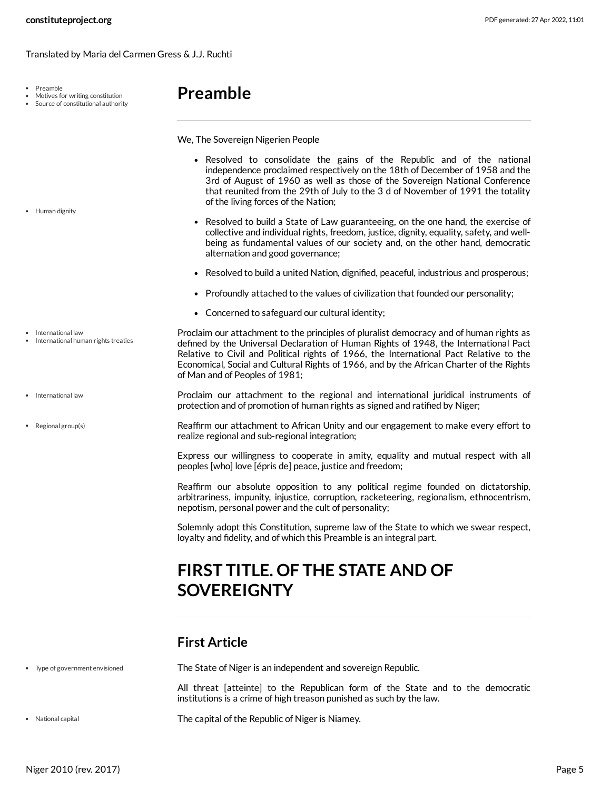Translated by Maria del Carmen Gress & J.J. Ruchti

Preamble

• Human dignity

• International law

• International law

• Regional group(s)

International human rights treaties

- Motives for writing constitution
- Source of constitutional authority

# <span id="page-4-0"></span>**Preamble**

We, The Sovereign Nigerien People

- Resolved to consolidate the gains of the Republic and of the national independence proclaimed respectively on the 18th of December of 1958 and the 3rd of August of 1960 as well as those of the Sovereign National Conference that reunited from the 29th of July to the 3 d of November of 1991 the totality of the living forces of the Nation;
- <span id="page-4-3"></span>• Resolved to build a State of Law guaranteeing, on the one hand, the exercise of collective and individual rights, freedom, justice, dignity, equality, safety, and wellbeing as fundamental values of our society and, on the other hand, democratic alternation and good governance;
- Resolved to build a united Nation, dignified, peaceful, industrious and prosperous;
- Profoundly attached to the values of civilization that founded our personality;
- <span id="page-4-4"></span>Concerned to safeguard our cultural identity;
- Proclaim our attachment to the principles of pluralist democracy and of human rights as defined by the Universal Declaration of Human Rights of 1948, the International Pact Relative to Civil and Political rights of 1966, the International Pact Relative to the Economical, Social and Cultural Rights of 1966, and by the African Charter of the Rights of Man and of Peoples of 1981;
	- Proclaim our attachment to the regional and international juridical instruments of protection and of promotion of human rights as signed and ratified by Niger;
- Reaffirm our attachment to African Unity and our engagement to make every effort to realize regional and sub-regional integration;

<span id="page-4-6"></span>Express our willingness to cooperate in amity, equality and mutual respect with all peoples [who] love [épris de] peace, justice and freedom;

Reaffirm our absolute opposition to any political regime founded on dictatorship, arbitrariness, impunity, injustice, corruption, racketeering, regionalism, ethnocentrism, nepotism, personal power and the cult of personality;

Solemnly adopt this Constitution, supreme law of the State to which we swear respect, loyalty and fidelity, and of which this Preamble is an integral part.

# <span id="page-4-1"></span>**FIRST TITLE. OF THE STATE AND OF SOVEREIGNTY**

## <span id="page-4-2"></span>**First Article**

Type of government envisioned

<span id="page-4-7"></span>The State of Niger is an independent and sovereign Republic.

All threat [atteinte] to the Republican form of the State and to the democratic institutions is a crime of high treason punished as such by the law.

National capital

<span id="page-4-5"></span>The capital of the Republic of Niger is Niamey.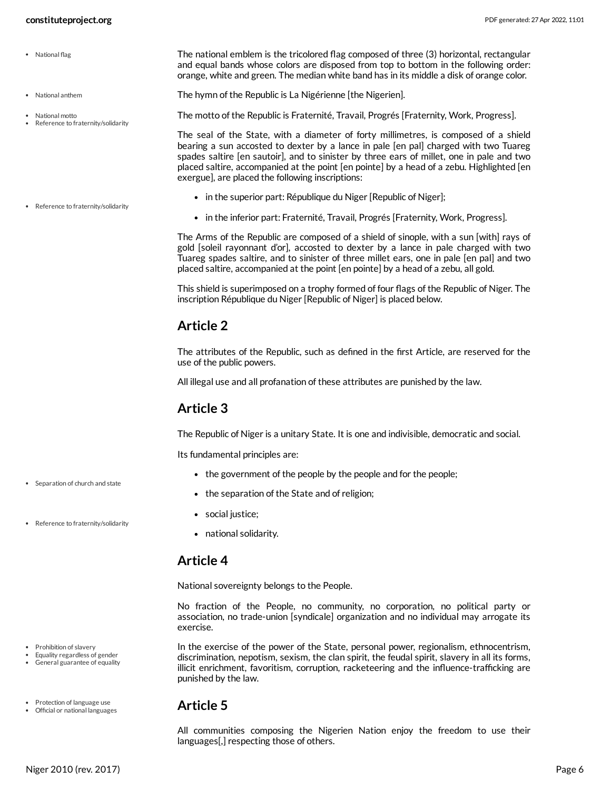National anthem

National motto

Reference to fraternity/solidarity

• Reference to fraternity/solidarity

- The national emblem is the tricolored flag composed of three (3) horizontal, rectangular and equal bands whose colors are disposed from top to bottom in the following order: orange, white and green. The median white band has in its middle a disk of orange color. • National flag
	- The hymn of the Republic is La Nigérienne [the Nigerien].

<span id="page-5-7"></span><span id="page-5-6"></span><span id="page-5-5"></span>The motto of the Republic is Fraternité, Travail, Progrés [Fraternity, Work, Progress].

The seal of the State, with a diameter of forty millimetres, is composed of a shield bearing a sun accosted to dexter by a lance in pale [en pal] charged with two Tuareg spades saltire [en sautoir], and to sinister by three ears of millet, one in pale and two placed saltire, accompanied at the point [en pointe] by a head of a zebu. Highlighted [en exergue], are placed the following inscriptions:

- in the superior part: République du Niger [Republic of Niger];
- in the inferior part: Fraternité, Travail, Progrés [Fraternity, Work, Progress].

The Arms of the Republic are composed of a shield of sinople, with a sun [with] rays of gold [soleil rayonnant d'or], accosted to dexter by a lance in pale charged with two Tuareg spades saltire, and to sinister of three millet ears, one in pale [en pal] and two placed saltire, accompanied at the point [en pointe] by a head of a zebu, all gold.

This shield is superimposed on a trophy formed of four flags of the Republic of Niger. The inscription République du Niger [Republic of Niger] is placed below.

## <span id="page-5-0"></span>**Article 2**

The attributes of the Republic, such as defined in the first Article, are reserved for the use of the public powers.

All illegal use and all profanation of these attributes are punished by the law.

## <span id="page-5-1"></span>**Article 3**

The Republic of Niger is a unitary State. It is one and indivisible, democratic and social.

Its fundamental principles are:

- the government of the people by the people and for the people;
- <span id="page-5-8"></span>• the separation of the State and of religion;
- social justice;
- national solidarity.

## <span id="page-5-2"></span>**Article 4**

National sovereignty belongs to the People.

No fraction of the People, no community, no corporation, no political party or association, no trade-union [syndicale] organization and no individual may arrogate its exercise.

<span id="page-5-4"></span>In the exercise of the power of the State, personal power, regionalism, ethnocentrism, discrimination, nepotism, sexism, the clan spirit, the feudal spirit, slavery in all its forms, illicit enrichment, favoritism, corruption, racketeering and the influence-trafficking are punished by the law.

## <span id="page-5-3"></span>**Article 5**

All communities composing the Nigerien Nation enjoy the freedom to use their languages[,] respecting those of others.

• Separation of church and state

• Reference to fraternity/solidarity

- Prohibition of slavery
- Equality regardless of gender General guarantee of equality
- Protection of language use Official or national languages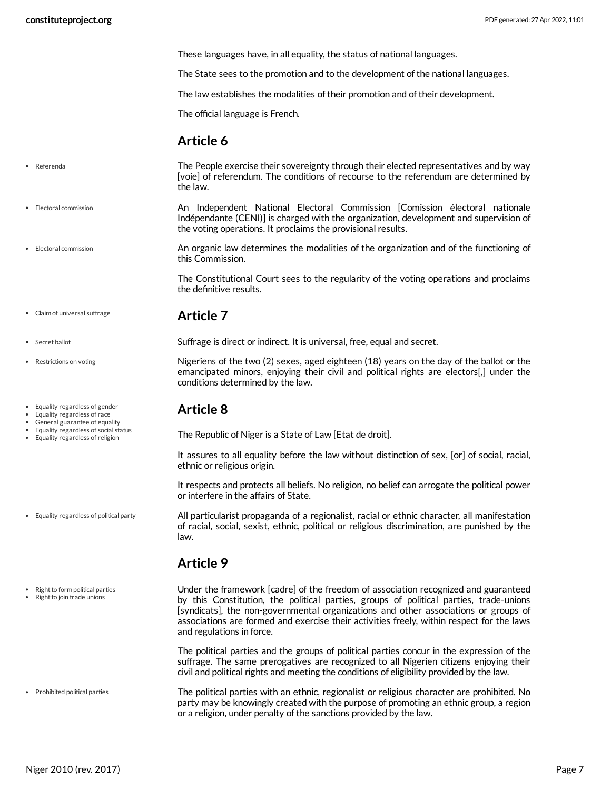These languages have, in all equality, the status of national languages.

The State sees to the promotion and to the development of the national languages.

The law establishes the modalities of their promotion and of their development.

The official language is French.

## <span id="page-6-7"></span><span id="page-6-0"></span>**Article 6**

- The People exercise their sovereignty through their elected representatives and by way [voie] of referendum. The conditions of recourse to the referendum are determined by the law. Referenda
	- An Independent National Electoral Commission [Comission électoral nationale Indépendante (CENI)] is charged with the organization, development and supervision of the voting operations. It proclaims the provisional results. Electoral commission

<span id="page-6-10"></span><span id="page-6-1"></span>Suffrage is direct or indirect. It is universal, free, equal and secret.

<span id="page-6-4"></span>An organic law determines the modalities of the organization and of the functioning of this Commission.

The Constitutional Court sees to the regularity of the voting operations and proclaims the definitive results.

<span id="page-6-8"></span>Nigeriens of the two (2) sexes, aged eighteen (18) years on the day of the ballot or the emancipated minors, enjoying their civil and political rights are electors[,] under the

- **Article 7** Claim of universal suffrage
- Secret ballot
- Restrictions on voting

• Electoral commission

- Equality regardless of gender
- Equality regardless of race
- General guarantee of equality
- Equality regardless of social status Equality regardless of religion
- Equality regardless of political party
- Right to form political parties
- Right to join trade unions

Prohibited political parties

## <span id="page-6-2"></span>**Article 8**

conditions determined by the law.

The Republic of Niger is a State of Law [Etat de droit].

It assures to all equality before the law without distinction of sex, [or] of social, racial, ethnic or religious origin.

It respects and protects all beliefs. No religion, no belief can arrogate the political power or interfere in the affairs of State.

<span id="page-6-5"></span>All particularist propaganda of a regionalist, racial or ethnic character, all manifestation of racial, social, sexist, ethnic, political or religious discrimination, are punished by the law.

## <span id="page-6-3"></span>**Article 9**

<span id="page-6-9"></span>Under the framework [cadre] of the freedom of association recognized and guaranteed by this Constitution, the political parties, groups of political parties, trade-unions [syndicats], the non-governmental organizations and other associations or groups of associations are formed and exercise their activities freely, within respect for the laws and regulations in force.

<span id="page-6-6"></span>The political parties and the groups of political parties concur in the expression of the suffrage. The same prerogatives are recognized to all Nigerien citizens enjoying their civil and political rights and meeting the conditions of eligibility provided by the law.

The political parties with an ethnic, regionalist or religious character are prohibited. No party may be knowingly created with the purpose of promoting an ethnic group, a region or a religion, under penalty of the sanctions provided by the law.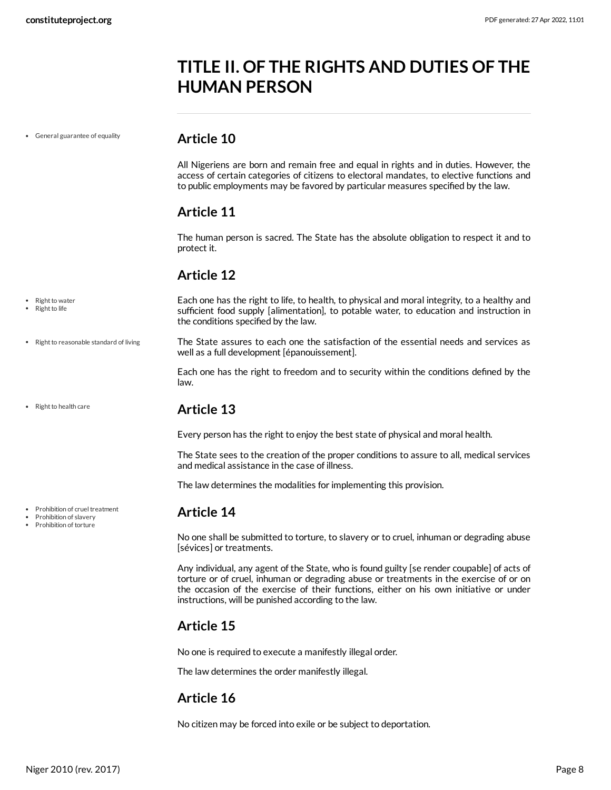# <span id="page-7-0"></span>**TITLE II. OF THE RIGHTS AND DUTIES OF THE HUMAN PERSON**

General guarantee of equality

#### <span id="page-7-1"></span>**Article 10**

All Nigeriens are born and remain free and equal in rights and in duties. However, the access of certain categories of citizens to electoral mandates, to elective functions and to public employments may be favored by particular measures specified by the law.

## <span id="page-7-2"></span>**Article 11**

The human person is sacred. The State has the absolute obligation to respect it and to protect it.

## <span id="page-7-3"></span>**Article 12**

Right to water

<span id="page-7-8"></span>Each one has the right to life, to health, to physical and moral integrity, to a healthy and sufficient food supply [alimentation], to potable water, to education and instruction in the conditions specified by the law.

<span id="page-7-9"></span>The State assures to each one the satisfaction of the essential needs and services as well as a full development [épanouissement].

Each one has the right to freedom and to security within the conditions defined by the law.

## <span id="page-7-4"></span>**Article 13**

Every person has the right to enjoy the best state of physical and moral health.

The State sees to the creation of the proper conditions to assure to all, medical services and medical assistance in the case of illness.

The law determines the modalities for implementing this provision.

## <span id="page-7-5"></span>**Article 14**

No one shall be submitted to torture, to slavery or to cruel, inhuman or degrading abuse [sévices] or treatments.

Any individual, any agent of the State, who is found guilty [se render coupable] of acts of torture or of cruel, inhuman or degrading abuse or treatments in the exercise of or on the occasion of the exercise of their functions, either on his own initiative or under instructions, will be punished according to the law.

## <span id="page-7-6"></span>**Article 15**

No one is required to execute a manifestly illegal order.

The law determines the order manifestly illegal.

## <span id="page-7-7"></span>**Article 16**

No citizen may be forced into exile or be subject to deportation.

Right to life

• Right to health care

• Right to reasonable standard of living

• Prohibition of cruel treatment

- Prohibition of slavery
- Prohibition of torture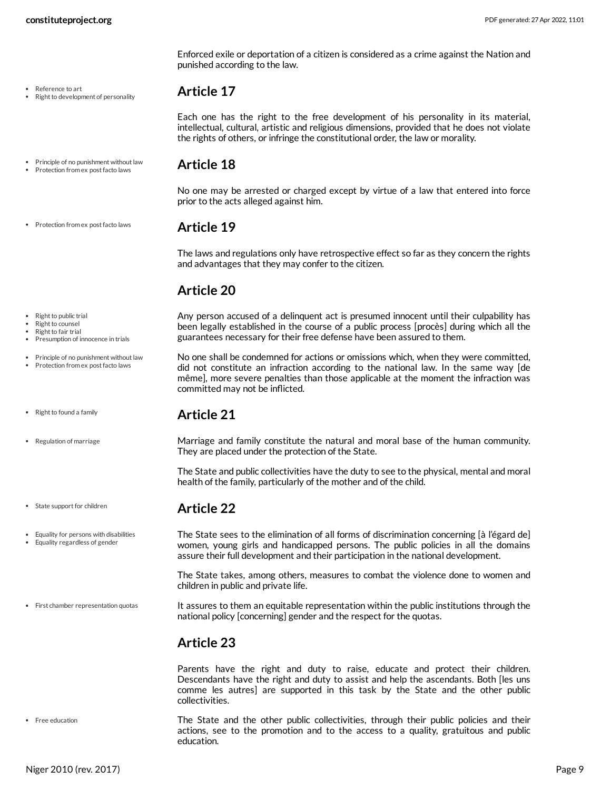• Reference to art

#### Right to development of personality

#### <span id="page-8-0"></span>**Article 17**

punished according to the law.

Each one has the right to the free development of his personality in its material, intellectual, cultural, artistic and religious dimensions, provided that he does not violate the rights of others, or infringe the constitutional order, the law or morality.

Enforced exile or deportation of a citizen is considered as a crime against the Nation and

• Principle of no punishment without law • Protection from ex post facto laws

#### <span id="page-8-1"></span>**Article 18**

No one may be arrested or charged except by virtue of a law that entered into force prior to the acts alleged against him.

#### **Article 19**

<span id="page-8-2"></span>The laws and regulations only have retrospective effect so far as they concern the rights and advantages that they may confer to the citizen.

## <span id="page-8-3"></span>**Article 20**

<span id="page-8-10"></span>Any person accused of a delinquent act is presumed innocent until their culpability has been legally established in the course of a public process [procès] during which all the guarantees necessary for their free defense have been assured to them.

No one shall be condemned for actions or omissions which, when they were committed, did not constitute an infraction according to the national law. In the same way [de même], more severe penalties than those applicable at the moment the infraction was committed may not be inflicted.

#### <span id="page-8-4"></span>**Article 21**

<span id="page-8-11"></span>Marriage and family constitute the natural and moral base of the human community. They are placed under the protection of the State.

The State and public collectivities have the duty to see to the physical, mental and moral health of the family, particularly of the mother and of the child.

## <span id="page-8-5"></span>**Article 22**

<span id="page-8-7"></span>The State sees to the elimination of all forms of discrimination concerning [à l'égard de] women, young girls and handicapped persons. The public policies in all the domains assure their full development and their participation in the national development.

The State takes, among others, measures to combat the violence done to women and children in public and private life.

<span id="page-8-8"></span>It assures to them an equitable representation within the public institutions through the national policy [concerning] gender and the respect for the quotas.

## <span id="page-8-6"></span>**Article 23**

Parents have the right and duty to raise, educate and protect their children. Descendants have the right and duty to assist and help the ascendants. Both [les uns comme les autres] are supported in this task by the State and the other public collectivities.

<span id="page-8-9"></span>The State and the other public collectivities, through their public policies and their actions, see to the promotion and to the access to a quality, gratuitous and public education.

Right to fair trial Presumption of innocence in trials

Right to public trial Right to counsel

- Principle of no punishment without law
- Protection from ex post facto laws

• Protection from ex post facto laws

- $\bullet$  Right to found a family
- Regulation of marriage

• State support for children

- Equality for persons with disabilities
- Equality regardless of gender

First chamber representation quotas

Free education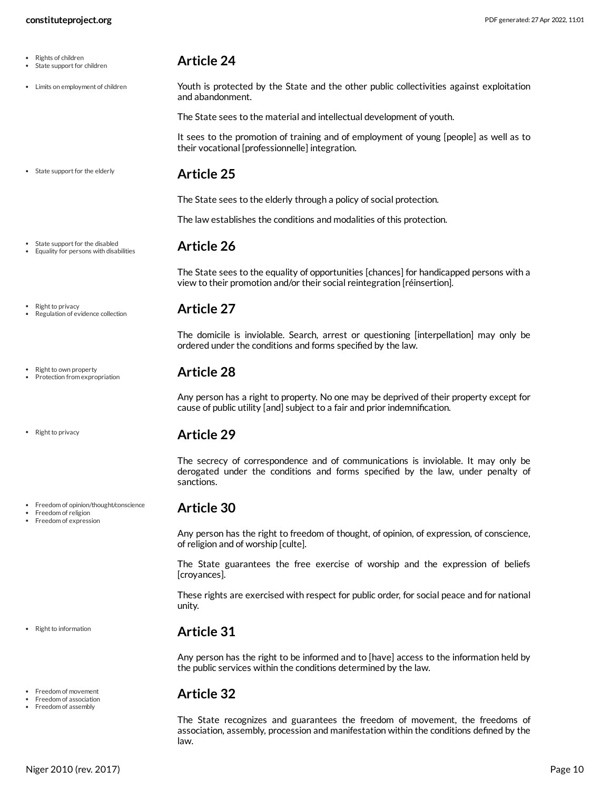| ٠         | Rights of children         |
|-----------|----------------------------|
| $\bullet$ | State support for children |

Limits on employment of children

#### <span id="page-9-0"></span>**Article 24**

<span id="page-9-9"></span>Youth is protected by the State and the other public collectivities against exploitation and abandonment.

The State sees to the material and intellectual development of youth.

It sees to the promotion of training and of employment of young [people] as well as to their vocational [professionnelle] integration.

• State support for the elderly

• State support for the disabled Equality for persons with disabilities

Regulation of evidence collection

Freedom of opinion/thought/conscience

Right to privacy

• Right to own property Protection from expropriation

• Right to privacy

Freedom of religion Freedom of expression

• Right to information

Freedom of movement Freedom of association Freedom of assembly

 $\bullet$ 

#### <span id="page-9-1"></span>**Article 25**

The State sees to the elderly through a policy of social protection.

<span id="page-9-2"></span>The law establishes the conditions and modalities of this protection.

#### **Article 26**

The State sees to the equality of opportunities [chances] for handicapped persons with a view to their promotion and/or their social reintegration [réinsertion].

#### <span id="page-9-3"></span>**Article 27**

The domicile is inviolable. Search, arrest or questioning [interpellation] may only be ordered under the conditions and forms specified by the law.

## <span id="page-9-4"></span>**Article 28**

Any person has a right to property. No one may be deprived of their property except for cause of public utility [and] subject to a fair and prior indemnification.

## <span id="page-9-5"></span>**Article 29**

The secrecy of correspondence and of communications is inviolable. It may only be derogated under the conditions and forms specified by the law, under penalty of sanctions.

## <span id="page-9-6"></span>**Article 30**

Any person has the right to freedom of thought, of opinion, of expression, of conscience, of religion and of worship [culte].

The State guarantees the free exercise of worship and the expression of beliefs [croyances].

These rights are exercised with respect for public order, for social peace and for national unity.

## <span id="page-9-7"></span>**Article 31**

Any person has the right to be informed and to [have] access to the information held by the public services within the conditions determined by the law.

## <span id="page-9-8"></span>**Article 32**

The State recognizes and guarantees the freedom of movement, the freedoms of association, assembly, procession and manifestation within the conditions defined by the law.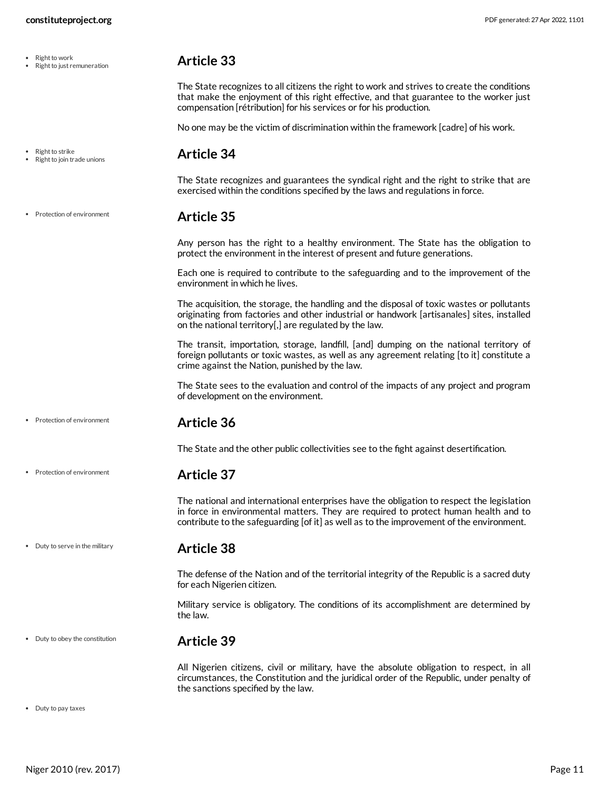Right to work Right to just remuneration

• Right to strike • Right to join trade unions

• Protection of environment

## <span id="page-10-0"></span>**Article 33**

The State recognizes to all citizens the right to work and strives to create the conditions that make the enjoyment of this right effective, and that guarantee to the worker just compensation [rétribution] for his services or for his production.

<span id="page-10-1"></span>No one may be the victim of discrimination within the framework [cadre] of his work.

#### **Article 34**

The State recognizes and guarantees the syndical right and the right to strike that are exercised within the conditions specified by the laws and regulations in force.

#### **Article 35**

<span id="page-10-2"></span>Any person has the right to a healthy environment. The State has the obligation to protect the environment in the interest of present and future generations.

Each one is required to contribute to the safeguarding and to the improvement of the environment in which he lives.

The acquisition, the storage, the handling and the disposal of toxic wastes or pollutants originating from factories and other industrial or handwork [artisanales] sites, installed on the national territory[,] are regulated by the law.

The transit, importation, storage, landfill, [and] dumping on the national territory of foreign pollutants or toxic wastes, as well as any agreement relating [to it] constitute a crime against the Nation, punished by the law.

The State sees to the evaluation and control of the impacts of any project and program of development on the environment.

Protection of environment

• Protection of environment

<span id="page-10-3"></span>**Article 36**

The State and the other public collectivities see to the fight against desertification.

#### <span id="page-10-4"></span>**Article 37**

The national and international enterprises have the obligation to respect the legislation in force in environmental matters. They are required to protect human health and to contribute to the safeguarding [of it] as well as to the improvement of the environment.

#### • Duty to serve in the military

<span id="page-10-5"></span>**Article 38**

The defense of the Nation and of the territorial integrity of the Republic is a sacred duty for each Nigerien citizen.

Military service is obligatory. The conditions of its accomplishment are determined by the law.

• Duty to obey the constitution

#### <span id="page-10-6"></span>**Article 39**

<span id="page-10-7"></span>All Nigerien citizens, civil or military, have the absolute obligation to respect, in all circumstances, the Constitution and the juridical order of the Republic, under penalty of the sanctions specified by the law.

Duty to pay taxes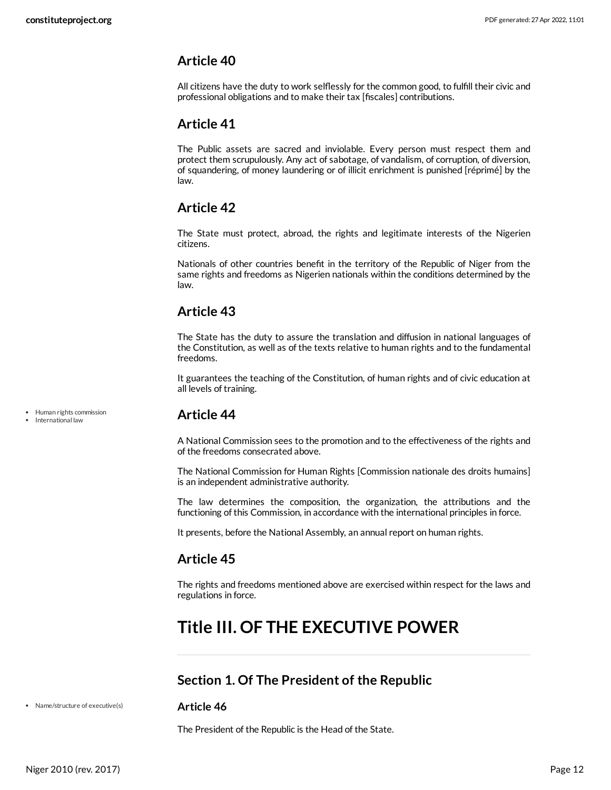## <span id="page-11-0"></span>**Article 40**

All citizens have the duty to work selflessly for the common good, to fulfill their civic and professional obligations and to make their tax [fiscales] contributions.

## <span id="page-11-1"></span>**Article 41**

The Public assets are sacred and inviolable. Every person must respect them and protect them scrupulously. Any act of sabotage, of vandalism, of corruption, of diversion, of squandering, of money laundering or of illicit enrichment is punished [réprimé] by the law.

## <span id="page-11-2"></span>**Article 42**

The State must protect, abroad, the rights and legitimate interests of the Nigerien citizens.

Nationals of other countries benefit in the territory of the Republic of Niger from the same rights and freedoms as Nigerien nationals within the conditions determined by the law.

## <span id="page-11-3"></span>**Article 43**

The State has the duty to assure the translation and diffusion in national languages of the Constitution, as well as of the texts relative to human rights and to the fundamental freedoms.

It guarantees the teaching of the Constitution, of human rights and of civic education at all levels of training.

<span id="page-11-4"></span>**Article 44**

A National Commission sees to the promotion and to the effectiveness of the rights and of the freedoms consecrated above.

The National Commission for Human Rights [Commission nationale des droits humains] is an independent administrative authority.

The law determines the composition, the organization, the attributions and the functioning of this Commission, in accordance with the international principles in force.

It presents, before the National Assembly, an annual report on human rights.

## <span id="page-11-5"></span>**Article 45**

The rights and freedoms mentioned above are exercised within respect for the laws and regulations in force.

# <span id="page-11-6"></span>**Title III. OF THE EXECUTIVE POWER**

## <span id="page-11-7"></span>**Section 1. Of The President of the Republic**

Name/structure of executive(s)

#### <span id="page-11-8"></span>**Article 46**

The President of the Republic is the Head of the State.

Human rights commission International law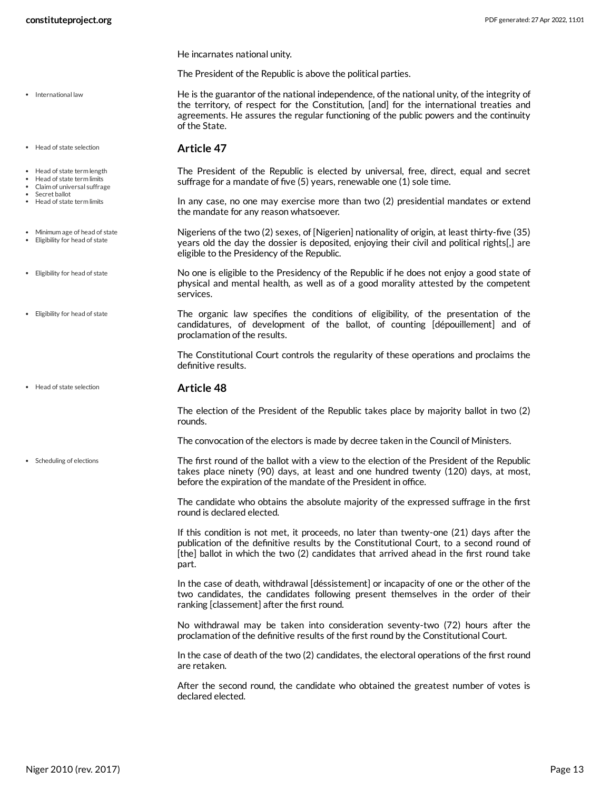• International law

Head of state selection

• Head of state term length Head of state term limits Claim of universal suffrage

Minimum age of head of state Eligibility for head of state

Eligibility for head of state

Eligibility for head of state

Scheduling of elections

Secret ballot • Head of state term limits He incarnates national unity.

The President of the Republic is above the political parties.

<span id="page-12-3"></span>He is the guarantor of the national independence, of the national unity, of the integrity of the territory, of respect for the Constitution, [and] for the international treaties and agreements. He assures the regular functioning of the public powers and the continuity of the State.

#### **Article 47**

<span id="page-12-2"></span><span id="page-12-0"></span>The President of the Republic is elected by universal, free, direct, equal and secret suffrage for a mandate of five (5) years, renewable one (1) sole time.

In any case, no one may exercise more than two (2) presidential mandates or extend the mandate for any reason whatsoever.

<span id="page-12-1"></span>Nigeriens of the two (2) sexes, of [Nigerien] nationality of origin, at least thirty-five (35) years old the day the dossier is deposited, enjoying their civil and political rights[,] are eligible to the Presidency of the Republic.

No one is eligible to the Presidency of the Republic if he does not enjoy a good state of physical and mental health, as well as of a good morality attested by the competent services.

The organic law specifies the conditions of eligibility, of the presentation of the candidatures, of development of the ballot, of counting [dépouillement] and of proclamation of the results.

The Constitutional Court controls the regularity of these operations and proclaims the definitive results.

#### **Article 48** • Head of state selection

The election of the President of the Republic takes place by majority ballot in two (2) rounds.

The convocation of the electors is made by decree taken in the Council of Ministers.

<span id="page-12-4"></span>The first round of the ballot with a view to the election of the President of the Republic takes place ninety (90) days, at least and one hundred twenty (120) days, at most, before the expiration of the mandate of the President in office.

The candidate who obtains the absolute majority of the expressed suffrage in the first round is declared elected.

If this condition is not met, it proceeds, no later than twenty-one (21) days after the publication of the definitive results by the Constitutional Court, to a second round of [the] ballot in which the two (2) candidates that arrived ahead in the first round take part.

In the case of death, withdrawal [déssistement] or incapacity of one or the other of the two candidates, the candidates following present themselves in the order of their ranking [classement] after the first round.

No withdrawal may be taken into consideration seventy-two (72) hours after the proclamation of the definitive results of the first round by the Constitutional Court.

In the case of death of the two (2) candidates, the electoral operations of the first round are retaken.

After the second round, the candidate who obtained the greatest number of votes is declared elected.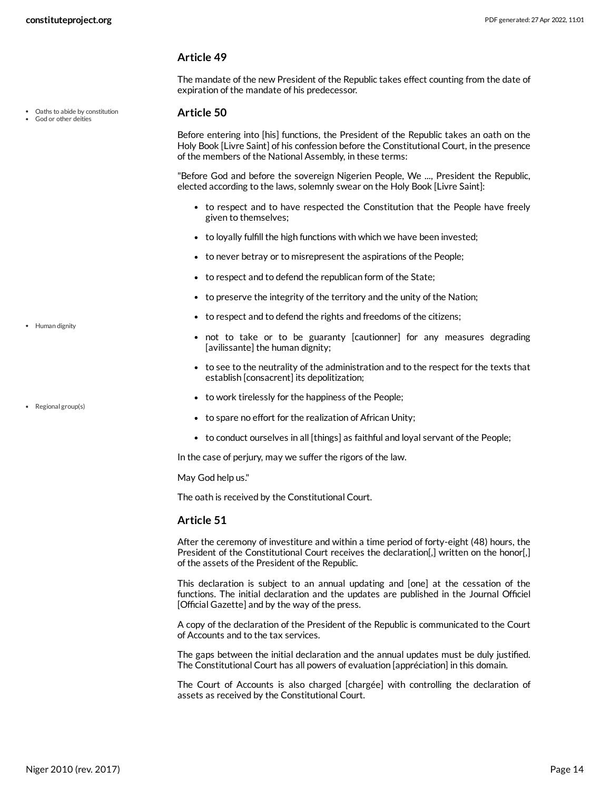Oaths to abide by constitution God or other deities

#### **Article 49**

The mandate of the new President of the Republic takes effect counting from the date of expiration of the mandate of his predecessor.

#### <span id="page-13-0"></span>**Article 50**

Before entering into [his] functions, the President of the Republic takes an oath on the Holy Book [Livre Saint] of his confession before the Constitutional Court, in the presence of the members of the National Assembly, in these terms:

"Before God and before the sovereign Nigerien People, We ..., President the Republic, elected according to the laws, solemnly swear on the Holy Book [Livre Saint]:

- to respect and to have respected the Constitution that the People have freely given to themselves;
- to loyally fulfill the high functions with which we have been invested;
- to never betray or to misrepresent the aspirations of the People;
- to respect and to defend the republican form of the State;
- to preserve the integrity of the territory and the unity of the Nation;
- to respect and to defend the rights and freedoms of the citizens;
- <span id="page-13-1"></span>not to take or to be guaranty [cautionner] for any measures degrading [avilissante] the human dignity;
- to see to the neutrality of the administration and to the respect for the texts that establish [consacrent] its depolitization;
- to work tirelessly for the happiness of the People;
- <span id="page-13-2"></span>to spare no effort for the realization of African Unity;
- to conduct ourselves in all [things] as faithful and loyal servant of the People;

In the case of perjury, may we suffer the rigors of the law.

May God help us."

The oath is received by the Constitutional Court.

#### **Article 51**

After the ceremony of investiture and within a time period of forty-eight (48) hours, the President of the Constitutional Court receives the declaration[,] written on the honor[,] of the assets of the President of the Republic.

This declaration is subject to an annual updating and [one] at the cessation of the functions. The initial declaration and the updates are published in the Journal Officiel [Official Gazette] and by the way of the press.

A copy of the declaration of the President of the Republic is communicated to the Court of Accounts and to the tax services.

The gaps between the initial declaration and the annual updates must be duly justified. The Constitutional Court has all powers of evaluation [appréciation] in this domain.

The Court of Accounts is also charged [chargée] with controlling the declaration of assets as received by the Constitutional Court.

• Human dignity

• Regional group(s)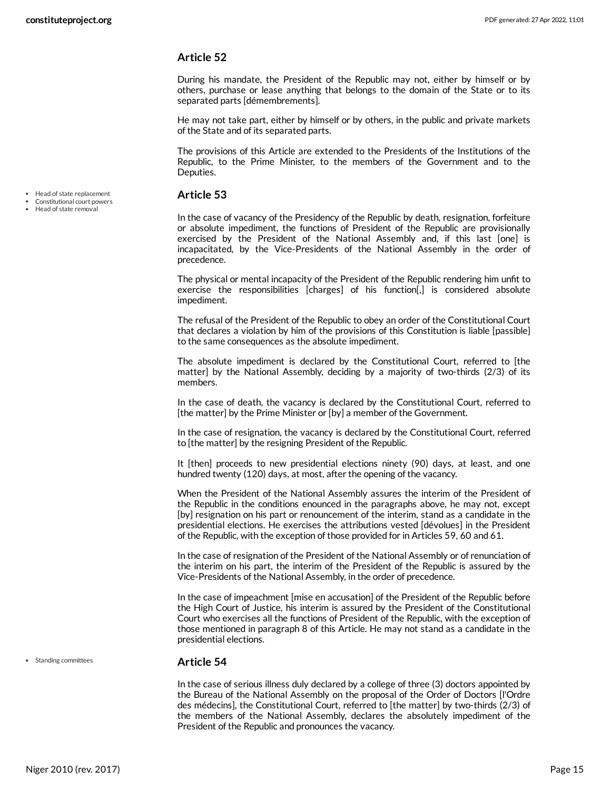#### **Article 52**

During his mandate, the President of the Republic may not, either by himself or by others, purchase or lease anything that belongs to the domain of the State or to its separated parts [démembrements].

He may not take part, either by himself or by others, in the public and private markets of the State and of its separated parts.

The provisions of this Article are extended to the Presidents of the Institutions of the Republic, to the Prime Minister, to the members of the Government and to the Deputies.

#### <span id="page-14-0"></span>**Article 53**

• Head of state replacement Constitutional court powers Head of state removal

In the case of vacancy of the Presidency of the Republic by death, resignation, forfeiture or absolute impediment, the functions of President of the Republic are provisionally exercised by the President of the National Assembly and, if this last [one] is incapacitated, by the Vice-Presidents of the National Assembly in the order of precedence.

The physical or mental incapacity of the President of the Republic rendering him unfit to exercise the responsibilities [charges] of his function[,] is considered absolute impediment.

The refusal of the President of the Republic to obey an order of the Constitutional Court that declares a violation by him of the provisions of this Constitution is liable [passible] to the same consequences as the absolute impediment.

The absolute impediment is declared by the Constitutional Court, referred to [the matter] by the National Assembly, deciding by a majority of two-thirds (2/3) of its members.

In the case of death, the vacancy is declared by the Constitutional Court, referred to [the matter] by the Prime Minister or [by] a member of the Government.

In the case of resignation, the vacancy is declared by the Constitutional Court, referred to [the matter] by the resigning President of the Republic.

It [then] proceeds to new presidential elections ninety (90) days, at least, and one hundred twenty (120) days, at most, after the opening of the vacancy.

When the President of the National Assembly assures the interim of the President of the Republic in the conditions enounced in the paragraphs above, he may not, except [by] resignation on his part or renouncement of the interim, stand as a candidate in the presidential elections. He exercises the attributions vested [dévolues] in the President of the Republic, with the exception of those provided for in Articles 59, 60 and 61.

In the case of resignation of the President of the National Assembly or of renunciation of the interim on his part, the interim of the President of the Republic is assured by the Vice-Presidents of the National Assembly, in the order of precedence.

In the case of impeachment [mise en accusation] of the President of the Republic before the High Court of Justice, his interim is assured by the President of the Constitutional Court who exercises all the functions of President of the Republic, with the exception of those mentioned in paragraph 8 of this Article. He may not stand as a candidate in the presidential elections.

• Standing committees

#### <span id="page-14-1"></span>**Article 54**

In the case of serious illness duly declared by a college of three (3) doctors appointed by the Bureau of the National Assembly on the proposal of the Order of Doctors [l'Ordre des médecins], the Constitutional Court, referred to [the matter] by two-thirds (2/3) of the members of the National Assembly, declares the absolutely impediment of the President of the Republic and pronounces the vacancy.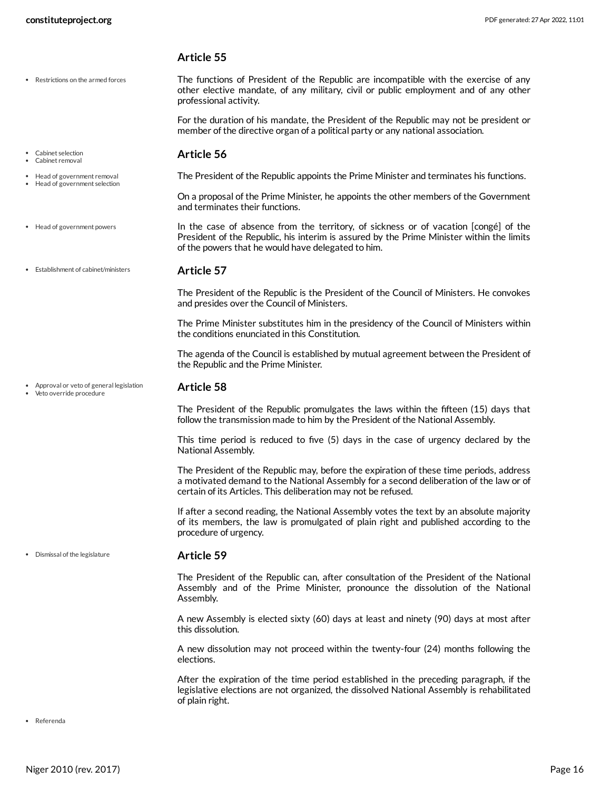#### **Article 55**

Restrictions on the armed forces

Head of government removal Head of government selection <span id="page-15-7"></span>The functions of President of the Republic are incompatible with the exercise of any other elective mandate, of any military, civil or public employment and of any other professional activity.

<span id="page-15-1"></span>For the duration of his mandate, the President of the Republic may not be president or member of the directive organ of a political party or any national association.

#### **Article 56** Cabinet selection Cabinet removal

The President of the Republic appoints the Prime Minister and terminates his functions.

<span id="page-15-5"></span><span id="page-15-4"></span>On a proposal of the Prime Minister, he appoints the other members of the Government and terminates their functions.

In the case of absence from the territory, of sickness or of vacation [congé] of the President of the Republic, his interim is assured by the Prime Minister within the limits of the powers that he would have delegated to him. Head of government powers

**Article 57** Establishment of cabinet/ministers

> <span id="page-15-3"></span>The President of the Republic is the President of the Council of Ministers. He convokes and presides over the Council of Ministers.

> The Prime Minister substitutes him in the presidency of the Council of Ministers within the conditions enunciated in this Constitution.

> The agenda of the Council is established by mutual agreement between the President of the Republic and the Prime Minister.

Approval or veto of general legislation Veto override procedure

#### <span id="page-15-0"></span>**Article 58**

The President of the Republic promulgates the laws within the fifteen (15) days that follow the transmission made to him by the President of the National Assembly.

This time period is reduced to five (5) days in the case of urgency declared by the National Assembly.

The President of the Republic may, before the expiration of these time periods, address a motivated demand to the National Assembly for a second deliberation of the law or of certain of its Articles. This deliberation may not be refused.

If after a second reading, the National Assembly votes the text by an absolute majority of its members, the law is promulgated of plain right and published according to the procedure of urgency.

Dismissal of the legislature

#### <span id="page-15-2"></span>**Article 59**

The President of the Republic can, after consultation of the President of the National Assembly and of the Prime Minister, pronounce the dissolution of the National Assembly.

A new Assembly is elected sixty (60) days at least and ninety (90) days at most after this dissolution.

A new dissolution may not proceed within the twenty-four (24) months following the elections.

<span id="page-15-6"></span>After the expiration of the time period established in the preceding paragraph, if the legislative elections are not organized, the dissolved National Assembly is rehabilitated of plain right.

Referenda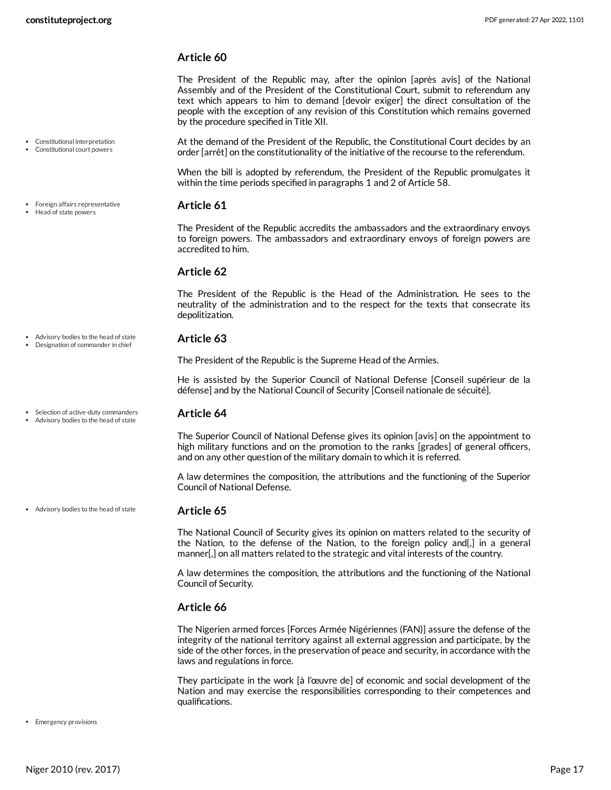Constitutional interpretation Constitutional court powers

Foreign affairs representative • Head of state powers

#### **Article 60**

The President of the Republic may, after the opinion [après avis] of the National Assembly and of the President of the Constitutional Court, submit to referendum any text which appears to him to demand [devoir exiger] the direct consultation of the people with the exception of any revision of this Constitution which remains governed by the procedure specified in Title XII.

<span id="page-16-1"></span>At the demand of the President of the Republic, the Constitutional Court decides by an order [arrêt] on the constitutionality of the initiative of the recourse to the referendum.

When the bill is adopted by referendum, the President of the Republic promulgates it within the time periods specified in paragraphs 1 and 2 of Article 58.

#### <span id="page-16-3"></span>**Article 61**

The President of the Republic accredits the ambassadors and the extraordinary envoys to foreign powers. The ambassadors and extraordinary envoys of foreign powers are accredited to him.

#### **Article 62**

The President of the Republic is the Head of the Administration. He sees to the neutrality of the administration and to the respect for the texts that consecrate its depolitization.

#### <span id="page-16-0"></span>**Article 63**

The President of the Republic is the Supreme Head of the Armies.

He is assisted by the Superior Council of National Defense [Conseil supérieur de la défense] and by the National Council of Security [Conseil nationale de sécuité].

#### **Article 64**

<span id="page-16-4"></span>The Superior Council of National Defense gives its opinion [avis] on the appointment to high military functions and on the promotion to the ranks [grades] of general officers, and on any other question of the military domain to which it is referred.

A law determines the composition, the attributions and the functioning of the Superior Council of National Defense.

#### **Article 65**

The National Council of Security gives its opinion on matters related to the security of the Nation, to the defense of the Nation, to the foreign policy and[,] in a general manner[,] on all matters related to the strategic and vital interests of the country.

A law determines the composition, the attributions and the functioning of the National Council of Security.

#### **Article 66**

The Nigerien armed forces [Forces Armée Nigériennes (FAN)] assure the defense of the integrity of the national territory against all external aggression and participate, by the side of the other forces, in the preservation of peace and security, in accordance with the laws and regulations in force.

<span id="page-16-2"></span>They participate in the work [à l'œuvre de] of economic and social development of the Nation and may exercise the responsibilities corresponding to their competences and qualifications.

Advisory bodies to the head of state Designation of commander in chief

• Selection of active-duty commanders Advisory bodies to the head of state

• Advisory bodies to the head of state

• Emergency provisions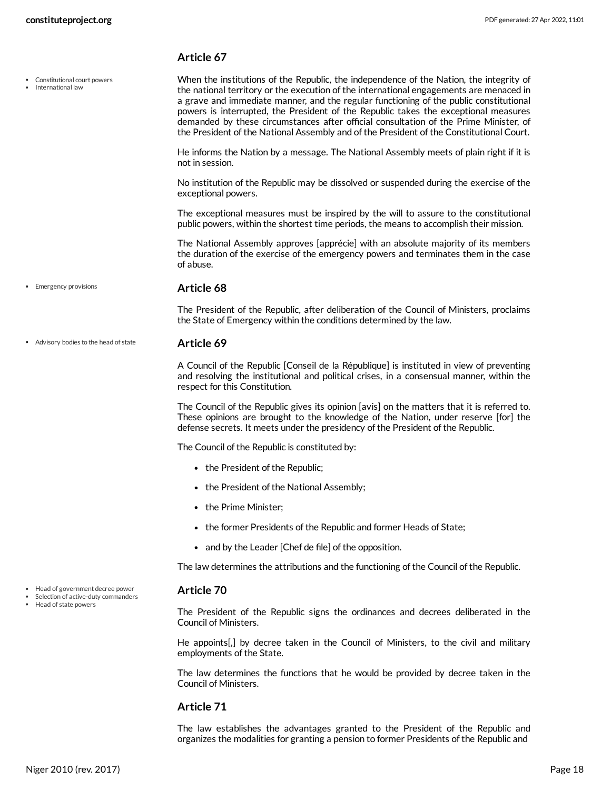Constitutional court powers International law

#### **Article 67**

<span id="page-17-1"></span>When the institutions of the Republic, the independence of the Nation, the integrity of the national territory or the execution of the international engagements are menaced in a grave and immediate manner, and the regular functioning of the public constitutional powers is interrupted, the President of the Republic takes the exceptional measures demanded by these circumstances after official consultation of the Prime Minister, of the President of the National Assembly and of the President of the Constitutional Court.

He informs the Nation by a message. The National Assembly meets of plain right if it is not in session.

No institution of the Republic may be dissolved or suspended during the exercise of the exceptional powers.

The exceptional measures must be inspired by the will to assure to the constitutional public powers, within the shortest time periods, the means to accomplish their mission.

The National Assembly approves [apprécie] with an absolute majority of its members the duration of the exercise of the emergency powers and terminates them in the case of abuse.

• Emergency provisions

#### <span id="page-17-2"></span>**Article 68**

The President of the Republic, after deliberation of the Council of Ministers, proclaims the State of Emergency within the conditions determined by the law.

#### **Article 69** Advisory bodies to the head of state

<span id="page-17-0"></span>A Council of the Republic [Conseil de la République] is instituted in view of preventing and resolving the institutional and political crises, in a consensual manner, within the respect for this Constitution.

The Council of the Republic gives its opinion [avis] on the matters that it is referred to. These opinions are brought to the knowledge of the Nation, under reserve [for] the defense secrets. It meets under the presidency of the President of the Republic.

The Council of the Republic is constituted by:

- the President of the Republic;
- the President of the National Assembly;
- the Prime Minister:
- the former Presidents of the Republic and former Heads of State;
- and by the Leader [Chef de file] of the opposition.

The law determines the attributions and the functioning of the Council of the Republic.

#### <span id="page-17-3"></span>**Article 70**

Head of government decree power Selection of active-duty commanders

Head of state powers

The President of the Republic signs the ordinances and decrees deliberated in the Council of Ministers.

He appoints[,] by decree taken in the Council of Ministers, to the civil and military employments of the State.

The law determines the functions that he would be provided by decree taken in the Council of Ministers.

#### **Article 71**

The law establishes the advantages granted to the President of the Republic and organizes the modalities for granting a pension to former Presidents of the Republic and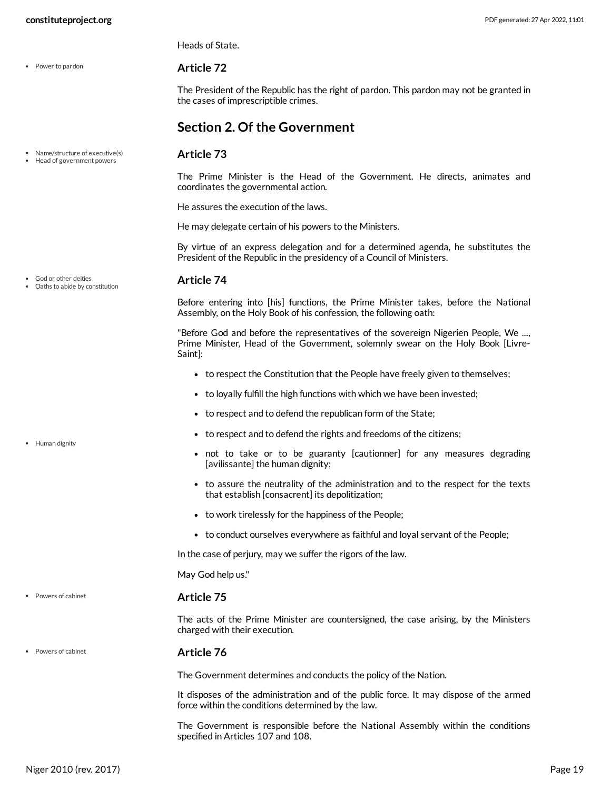• Power to pardon

God or other deities Oaths to abide by constitution

• Human dignity

Powers of cabinet

Powers of cabinet

Heads of State.

#### <span id="page-18-4"></span>**Article 72**

<span id="page-18-2"></span>**Article 73**

The President of the Republic has the right of pardon. This pardon may not be granted in the cases of imprescriptible crimes.

## <span id="page-18-0"></span>**Section 2. Of the Government**

- Name/structure of executive(s)
- Head of government powers

The Prime Minister is the Head of the Government. He directs, animates and coordinates the governmental action.

He assures the execution of the laws.

He may delegate certain of his powers to the Ministers.

By virtue of an express delegation and for a determined agenda, he substitutes the President of the Republic in the presidency of a Council of Ministers.

#### <span id="page-18-1"></span>**Article 74**

Before entering into [his] functions, the Prime Minister takes, before the National Assembly, on the Holy Book of his confession, the following oath:

"Before God and before the representatives of the sovereign Nigerien People, We ..., Prime Minister, Head of the Government, solemnly swear on the Holy Book [Livre-Saint]:

- to respect the Constitution that the People have freely given to themselves;
- to loyally fulfill the high functions with which we have been invested;
- to respect and to defend the republican form of the State;
- to respect and to defend the rights and freedoms of the citizens;
- <span id="page-18-3"></span>not to take or to be guaranty [cautionner] for any measures degrading [avilissante] the human dignity;
- to assure the neutrality of the administration and to the respect for the texts that establish [consacrent] its depolitization;
- to work tirelessly for the happiness of the People;
- to conduct ourselves everywhere as faithful and loyal servant of the People;

In the case of perjury, may we suffer the rigors of the law.

May God help us."

#### <span id="page-18-5"></span>**Article 75**

The acts of the Prime Minister are countersigned, the case arising, by the Ministers charged with their execution.

#### **Article 76**

The Government determines and conducts the policy of the Nation.

It disposes of the administration and of the public force. It may dispose of the armed force within the conditions determined by the law.

The Government is responsible before the National Assembly within the conditions specified in Articles 107 and 108.

Niger 2010 (rev. 2017) Page 19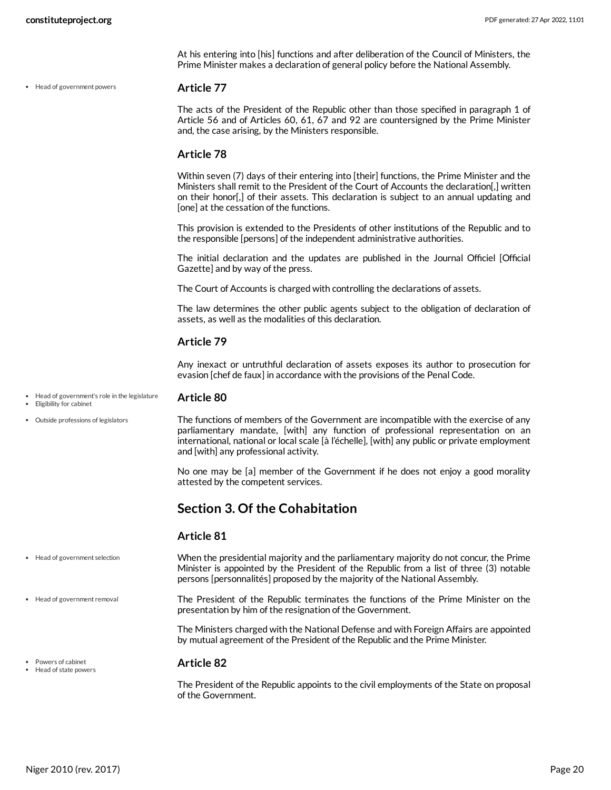Head of government powers

At his entering into [his] functions and after deliberation of the Council of Ministers, the Prime Minister makes a declaration of general policy before the National Assembly.

#### **Article 77**

<span id="page-19-2"></span>The acts of the President of the Republic other than those specified in paragraph 1 of Article 56 and of Articles 60, 61, 67 and 92 are countersigned by the Prime Minister and, the case arising, by the Ministers responsible.

#### **Article 78**

Within seven (7) days of their entering into [their] functions, the Prime Minister and the Ministers shall remit to the President of the Court of Accounts the declaration[,] written on their honor[,] of their assets. This declaration is subject to an annual updating and [one] at the cessation of the functions.

This provision is extended to the Presidents of other institutions of the Republic and to the responsible [persons] of the independent administrative authorities.

The initial declaration and the updates are published in the Journal Officiel [Official Gazette] and by way of the press.

The Court of Accounts is charged with controlling the declarations of assets.

The law determines the other public agents subject to the obligation of declaration of assets, as well as the modalities of this declaration.

#### **Article 79**

Any inexact or untruthful declaration of assets exposes its author to prosecution for evasion [chef de faux] in accordance with the provisions of the Penal Code.

- **Article 80** Head of government's role in the legislature Eligibility for cabinet
- 
- Outside professions of legislators

<span id="page-19-6"></span><span id="page-19-1"></span>The functions of members of the Government are incompatible with the exercise of any parliamentary mandate, [with] any function of professional representation on an international, national or local scale [à l'échelle], [with] any public or private employment and [with] any professional activity.

No one may be [a] member of the Government if he does not enjoy a good morality attested by the competent services.

## <span id="page-19-0"></span>**Section 3. Of the Cohabitation**

#### <span id="page-19-4"></span><span id="page-19-3"></span>**Article 81**

| • Head of government selection                | When the presidential majority and the parliamentary majority do not concur, the Prime<br>Minister is appointed by the President of the Republic from a list of three (3) notable<br>persons [personnalités] proposed by the majority of the National Assembly. |
|-----------------------------------------------|-----------------------------------------------------------------------------------------------------------------------------------------------------------------------------------------------------------------------------------------------------------------|
| • Head of government removal                  | The President of the Republic terminates the functions of the Prime Minister on the<br>presentation by him of the resignation of the Government.                                                                                                                |
|                                               | The Ministers charged with the National Defense and with Foreign Affairs are appointed<br>by mutual agreement of the President of the Republic and the Prime Minister.                                                                                          |
| • Powers of cabinet<br>• Head of state powers | <b>Article 82</b>                                                                                                                                                                                                                                               |

<span id="page-19-5"></span>The President of the Republic appoints to the civil employments of the State on proposal of the Government.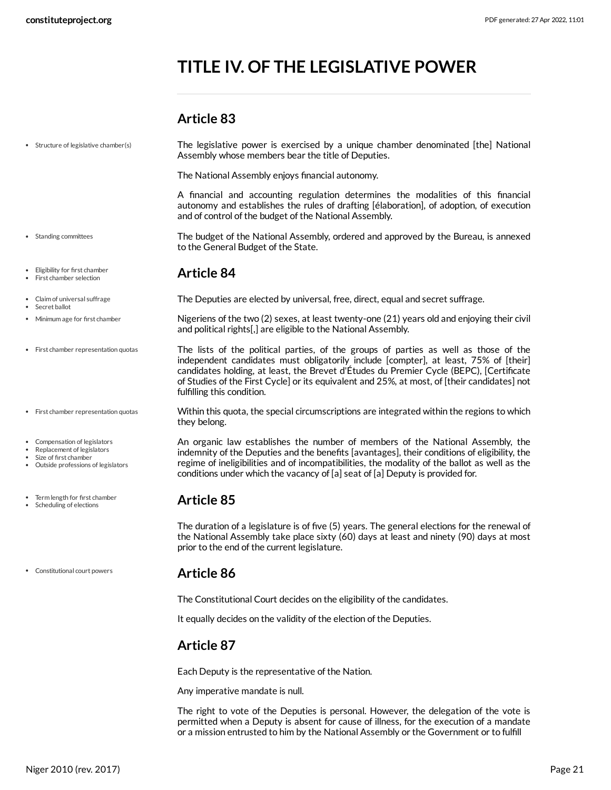# <span id="page-20-0"></span>**TITLE IV. OF THE LEGISLATIVE POWER**

## <span id="page-20-11"></span><span id="page-20-10"></span><span id="page-20-9"></span><span id="page-20-8"></span><span id="page-20-6"></span><span id="page-20-2"></span><span id="page-20-1"></span>**Article 83**

| • Structure of legislative chamber(s)                                                                                    | The legislative power is exercised by a unique chamber denominated [the] National<br>Assembly whose members bear the title of Deputies.                                                                                                                                                                                                                                                               |
|--------------------------------------------------------------------------------------------------------------------------|-------------------------------------------------------------------------------------------------------------------------------------------------------------------------------------------------------------------------------------------------------------------------------------------------------------------------------------------------------------------------------------------------------|
|                                                                                                                          | The National Assembly enjoys financial autonomy.                                                                                                                                                                                                                                                                                                                                                      |
|                                                                                                                          | A financial and accounting regulation determines the modalities of this financial<br>autonomy and establishes the rules of drafting [élaboration], of adoption, of execution<br>and of control of the budget of the National Assembly.                                                                                                                                                                |
| • Standing committees                                                                                                    | The budget of the National Assembly, ordered and approved by the Bureau, is annexed<br>to the General Budget of the State.                                                                                                                                                                                                                                                                            |
| Eligibility for first chamber<br>First chamber selection                                                                 | <b>Article 84</b>                                                                                                                                                                                                                                                                                                                                                                                     |
| Claim of universal suffrage<br>Secret ballot                                                                             | The Deputies are elected by universal, free, direct, equal and secret suffrage.                                                                                                                                                                                                                                                                                                                       |
| Minimum age for first chamber                                                                                            | Nigeriens of the two (2) sexes, at least twenty-one (21) years old and enjoying their civil<br>and political rights[,] are eligible to the National Assembly.                                                                                                                                                                                                                                         |
| • First chamber representation quotas                                                                                    | The lists of the political parties, of the groups of parties as well as those of the<br>independent candidates must obligatorily include [compter], at least, 75% of [their]<br>candidates holding, at least, the Brevet d'Études du Premier Cycle (BEPC), [Certificate<br>of Studies of the First Cycle] or its equivalent and 25%, at most, of [their candidates] not<br>fulfilling this condition. |
| • First chamber representation quotas                                                                                    | Within this quota, the special circumscriptions are integrated within the regions to which<br>they belong.                                                                                                                                                                                                                                                                                            |
| Compensation of legislators<br>Replacement of legislators<br>Size of first chamber<br>Outside professions of legislators | An organic law establishes the number of members of the National Assembly, the<br>indemnity of the Deputies and the benefits [avantages], their conditions of eligibility, the<br>regime of ineligibilities and of incompatibilities, the modality of the ballot as well as the<br>conditions under which the vacancy of [a] seat of [a] Deputy is provided for.                                      |
| Term length for first chamber<br>Scheduling of elections                                                                 | <b>Article 85</b>                                                                                                                                                                                                                                                                                                                                                                                     |
|                                                                                                                          | The duration of a legislature is of five (5) years. The general elections for the renewal of<br>the National Assembly take place sixty (60) days at least and ninety (90) days at most<br>prior to the end of the current legislature.                                                                                                                                                                |
| Constitutional court powers                                                                                              | <b>Article 86</b>                                                                                                                                                                                                                                                                                                                                                                                     |
|                                                                                                                          | The Constitutional Court decides on the eligibility of the candidates.                                                                                                                                                                                                                                                                                                                                |

<span id="page-20-7"></span><span id="page-20-4"></span><span id="page-20-3"></span>It equally decides on the validity of the election of the Deputies.

## <span id="page-20-5"></span>**Article 87**

Each Deputy is the representative of the Nation.

Any imperative mandate is null.

The right to vote of the Deputies is personal. However, the delegation of the vote is permitted when a Deputy is absent for cause of illness, for the execution of a mandate or a mission entrusted to him by the National Assembly or the Government or to fulfill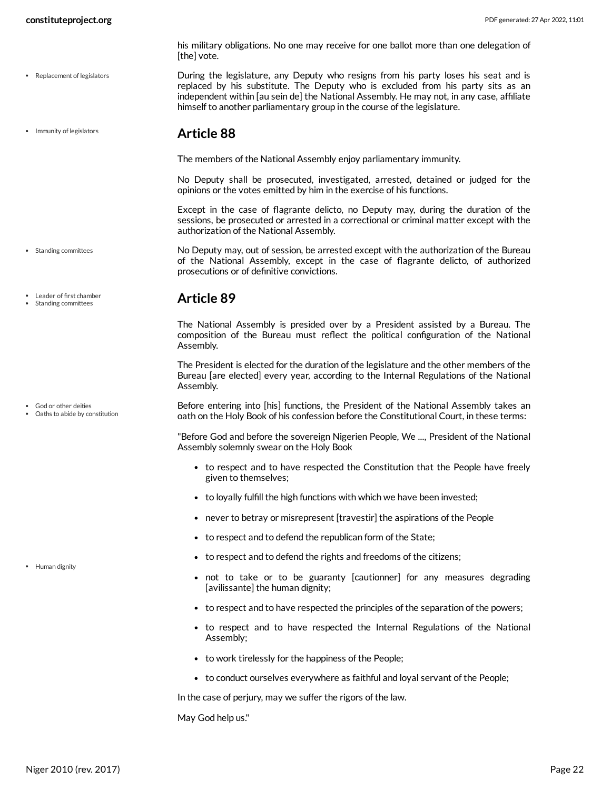Replacement of legislators

• Immunity of legislators

- his military obligations. No one may receive for one ballot more than one delegation of [the] vote.
- <span id="page-21-4"></span>During the legislature, any Deputy who resigns from his party loses his seat and is replaced by his substitute. The Deputy who is excluded from his party sits as an independent within [au sein de] the National Assembly. He may not, in any case, affiliate himself to another parliamentary group in the course of the legislature.

#### <span id="page-21-0"></span>**Article 88**

The members of the National Assembly enjoy parliamentary immunity.

No Deputy shall be prosecuted, investigated, arrested, detained or judged for the opinions or the votes emitted by him in the exercise of his functions.

<span id="page-21-5"></span>Except in the case of flagrante delicto, no Deputy may, during the duration of the sessions, be prosecuted or arrested in a correctional or criminal matter except with the authorization of the National Assembly.

No Deputy may, out of session, be arrested except with the authorization of the Bureau of the National Assembly, except in the case of flagrante delicto, of authorized prosecutions or of definitive convictions.

## <span id="page-21-1"></span>**Article 89**

The National Assembly is presided over by a President assisted by a Bureau. The composition of the Bureau must reflect the political configuration of the National Assembly.

The President is elected for the duration of the legislature and the other members of the Bureau [are elected] every year, according to the Internal Regulations of the National Assembly.

<span id="page-21-2"></span>Before entering into [his] functions, the President of the National Assembly takes an oath on the Holy Book of his confession before the Constitutional Court, in these terms:

"Before God and before the sovereign Nigerien People, We ..., President of the National Assembly solemnly swear on the Holy Book

- to respect and to have respected the Constitution that the People have freely given to themselves;
- to loyally fulfill the high functions with which we have been invested;
- never to betray or misrepresent [travestir] the aspirations of the People
- to respect and to defend the republican form of the State;
- to respect and to defend the rights and freedoms of the citizens;
- <span id="page-21-3"></span>not to take or to be guaranty [cautionner] for any measures degrading [avilissante] the human dignity;
- to respect and to have respected the principles of the separation of the powers;
- to respect and to have respected the Internal Regulations of the National Assembly;
- to work tirelessly for the happiness of the People;
- to conduct ourselves everywhere as faithful and loyal servant of the People;

In the case of perjury, may we suffer the rigors of the law.

May God help us."

• Standing committees

Leader of first chamber Standing committees

God or other deities

Oaths to abide by constitution

• Human dignity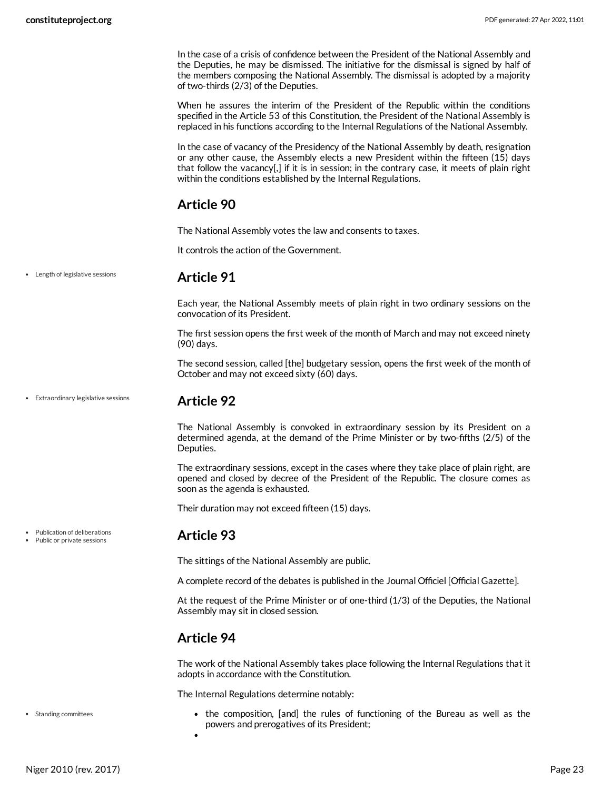In the case of a crisis of confidence between the President of the National Assembly and the Deputies, he may be dismissed. The initiative for the dismissal is signed by half of the members composing the National Assembly. The dismissal is adopted by a majority of two-thirds (2/3) of the Deputies.

When he assures the interim of the President of the Republic within the conditions specified in the Article 53 of this Constitution, the President of the National Assembly is replaced in his functions according to the Internal Regulations of the National Assembly.

In the case of vacancy of the Presidency of the National Assembly by death, resignation or any other cause, the Assembly elects a new President within the fifteen (15) days that follow the vacancy[,] if it is in session; in the contrary case, it meets of plain right within the conditions established by the Internal Regulations.

## <span id="page-22-0"></span>**Article 90**

The National Assembly votes the law and consents to taxes.

It controls the action of the Government.

Length of legislative sessions

## <span id="page-22-1"></span>**Article 91**

Each year, the National Assembly meets of plain right in two ordinary sessions on the convocation of its President.

The first session opens the first week of the month of March and may not exceed ninety (90) days.

The second session, called [the] budgetary session, opens the first week of the month of October and may not exceed sixty (60) days.

Extraordinary legislative sessions

## <span id="page-22-2"></span>**Article 92**

The National Assembly is convoked in extraordinary session by its President on a determined agenda, at the demand of the Prime Minister or by two-fifths (2/5) of the Deputies.

The extraordinary sessions, except in the cases where they take place of plain right, are opened and closed by decree of the President of the Republic. The closure comes as soon as the agenda is exhausted.

Their duration may not exceed fifteen (15) days.

## <span id="page-22-3"></span>**Article 93**

The sittings of the National Assembly are public.

A complete record of the debates is published in the Journal Officiel [Official Gazette].

At the request of the Prime Minister or of one-third (1/3) of the Deputies, the National Assembly may sit in closed session.

## <span id="page-22-4"></span>**Article 94**

The work of the National Assembly takes place following the Internal Regulations that it adopts in accordance with the Constitution.

<span id="page-22-5"></span>The Internal Regulations determine notably:

• the composition, [and] the rules of functioning of the Bureau as well as the powers and prerogatives of its President;

Publication of deliberations

Public or private sessions

Standing committees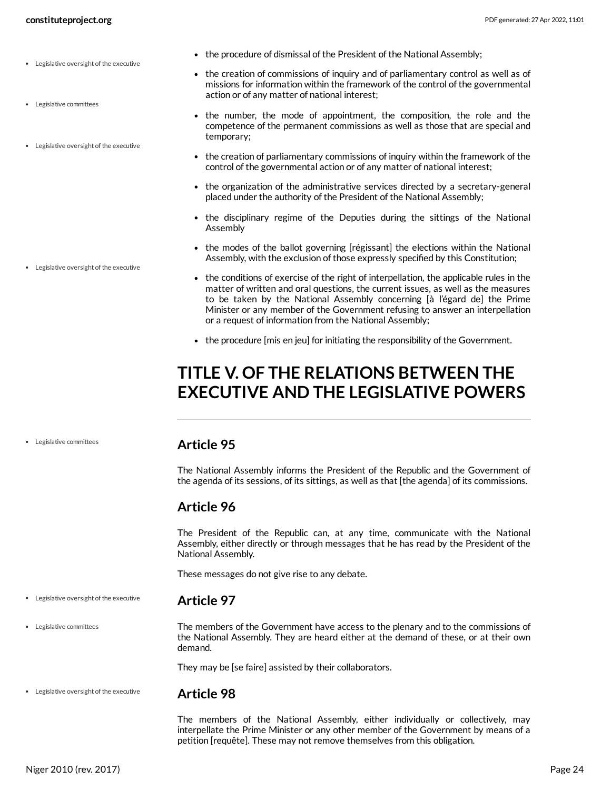- Legislative oversight of the executive
- Legislative committees
- Legislative oversight of the executive

Legislative oversight of the executive

- the procedure of dismissal of the President of the National Assembly;
- <span id="page-23-6"></span>the creation of commissions of inquiry and of parliamentary control as well as of missions for information within the framework of the control of the governmental action or of any matter of national interest;
- <span id="page-23-5"></span>• the number, the mode of appointment, the composition, the role and the competence of the permanent commissions as well as those that are special and temporary;
- the creation of parliamentary commissions of inquiry within the framework of the control of the governmental action or of any matter of national interest;
- the organization of the administrative services directed by a secretary-general placed under the authority of the President of the National Assembly;
- the disciplinary regime of the Deputies during the sittings of the National Assembly
- the modes of the ballot governing [régissant] the elections within the National Assembly, with the exclusion of those expressly specified by this Constitution;
- the conditions of exercise of the right of interpellation, the applicable rules in the matter of written and oral questions, the current issues, as well as the measures to be taken by the National Assembly concerning [à l'égard de] the Prime Minister or any member of the Government refusing to answer an interpellation or a request of information from the National Assembly;
- the procedure [mis en jeu] for initiating the responsibility of the Government.

# <span id="page-23-0"></span>**TITLE V. OF THE RELATIONS BETWEEN THE EXECUTIVE AND THE LEGISLATIVE POWERS**

Legislative committees

#### <span id="page-23-1"></span>**Article 95**

The National Assembly informs the President of the Republic and the Government of the agenda of its sessions, of its sittings, as well as that [the agenda] of its commissions.

## <span id="page-23-2"></span>**Article 96**

The President of the Republic can, at any time, communicate with the National Assembly, either directly or through messages that he has read by the President of the National Assembly.

<span id="page-23-3"></span>These messages do not give rise to any debate.

- **Article 97** Legislative oversight of the executive
- Legislative committees

The members of the Government have access to the plenary and to the commissions of the National Assembly. They are heard either at the demand of these, or at their own demand.

They may be [se faire] assisted by their collaborators.

Legislative oversight of the executive

#### <span id="page-23-4"></span>**Article 98**

The members of the National Assembly, either individually or collectively, may interpellate the Prime Minister or any other member of the Government by means of a petition [requête]. These may not remove themselves from this obligation.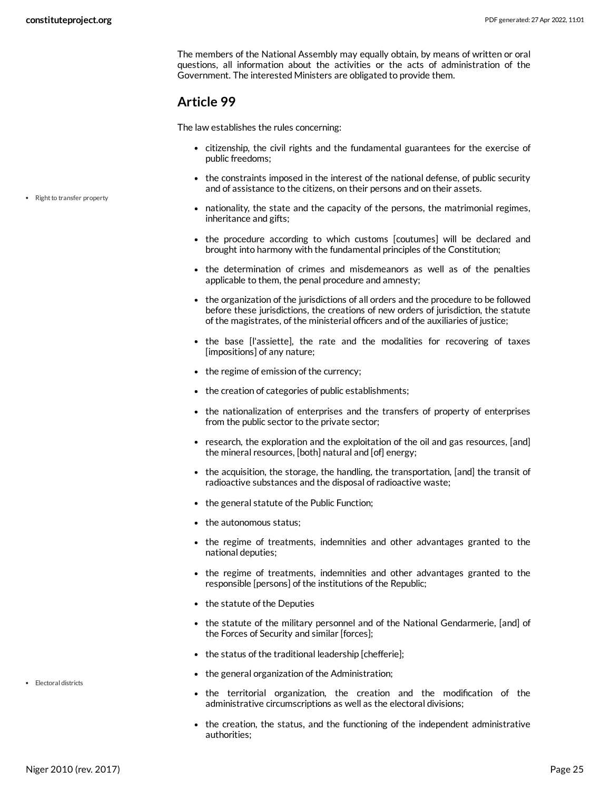• Right to transfer property

The members of the National Assembly may equally obtain, by means of written or oral questions, all information about the activities or the acts of administration of the Government. The interested Ministers are obligated to provide them.

## <span id="page-24-0"></span>**Article 99**

The law establishes the rules concerning:

- citizenship, the civil rights and the fundamental guarantees for the exercise of public freedoms;
- the constraints imposed in the interest of the national defense, of public security and of assistance to the citizens, on their persons and on their assets.
- <span id="page-24-2"></span>nationality, the state and the capacity of the persons, the matrimonial regimes, inheritance and gifts;
- the procedure according to which customs [coutumes] will be declared and brought into harmony with the fundamental principles of the Constitution;
- the determination of crimes and misdemeanors as well as of the penalties applicable to them, the penal procedure and amnesty;
- the organization of the jurisdictions of all orders and the procedure to be followed before these jurisdictions, the creations of new orders of jurisdiction, the statute of the magistrates, of the ministerial officers and of the auxiliaries of justice;
- the base [l'assiette], the rate and the modalities for recovering of taxes [impositions] of any nature;
- the regime of emission of the currency;
- the creation of categories of public establishments;
- the nationalization of enterprises and the transfers of property of enterprises from the public sector to the private sector;
- research, the exploration and the exploitation of the oil and gas resources, [and] the mineral resources, [both] natural and [of] energy;
- the acquisition, the storage, the handling, the transportation, [and] the transit of radioactive substances and the disposal of radioactive waste;
- the general statute of the Public Function;
- the autonomous status;
- the regime of treatments, indemnities and other advantages granted to the national deputies;
- the regime of treatments, indemnities and other advantages granted to the responsible [persons] of the institutions of the Republic;
- the statute of the Deputies
- the statute of the military personnel and of the National Gendarmerie, [and] of the Forces of Security and similar [forces];
- the status of the traditional leadership [chefferie];
- the general organization of the Administration;
- <span id="page-24-1"></span>the territorial organization, the creation and the modification of the administrative circumscriptions as well as the electoral divisions;
- the creation, the status, and the functioning of the independent administrative authorities;

• Electoral districts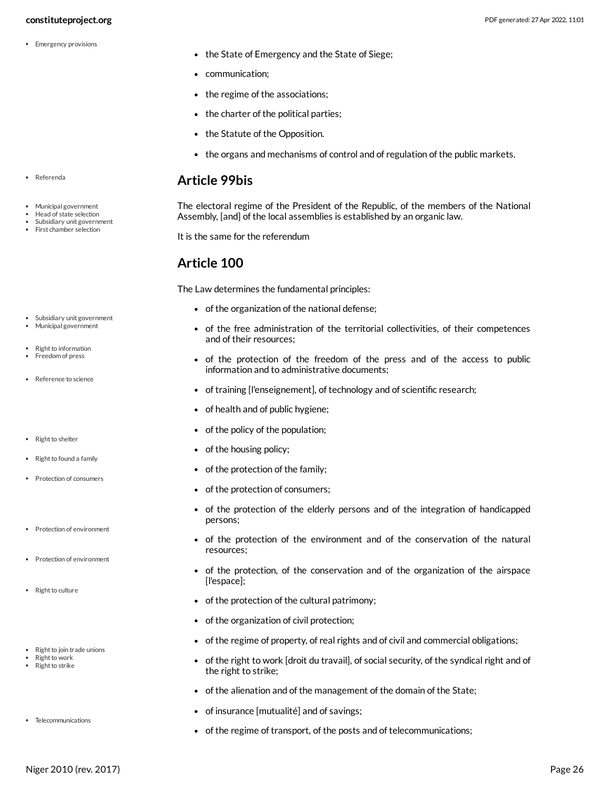#### **constituteproject.org** PDF generated: 27 Apr 2022, 11:01

• Emergency provisions

- <span id="page-25-2"></span>• the State of Emergency and the State of Siege;
- communication;
- the regime of the associations;
- the charter of the political parties;
- the Statute of the Opposition.
- the organs and mechanisms of control and of regulation of the public markets.

#### <span id="page-25-0"></span>**Article 99bis**

<span id="page-25-3"></span>The electoral regime of the President of the Republic, of the members of the National Assembly, [and] of the local assemblies is established by an organic law.

It is the same for the referendum

## <span id="page-25-1"></span>**Article 100**

The Law determines the fundamental principles:

- of the organization of the national defense;
- of the free administration of the territorial collectivities, of their competences and of their resources;
- <span id="page-25-4"></span>• of the protection of the freedom of the press and of the access to public information and to administrative documents;
- <span id="page-25-7"></span>of training [l'enseignement], of technology and of scientific research;
- of health and of public hygiene;
- of the policy of the population;
- <span id="page-25-11"></span>• of the housing policy;
- <span id="page-25-9"></span>• of the protection of the family;
- <span id="page-25-5"></span>of the protection of consumers;
- of the protection of the elderly persons and of the integration of handicapped persons;
- <span id="page-25-6"></span>of the protection of the environment and of the conservation of the natural resources;
- of the protection, of the conservation and of the organization of the airspace [l'espace];
- <span id="page-25-8"></span>• of the protection of the cultural patrimony;
- of the organization of civil protection;
- of the regime of property, of real rights and of civil and commercial obligations;
- <span id="page-25-10"></span> $\bullet$  of the right to work [droit du travail], of social security, of the syndical right and of the right to strike;
- of the alienation and of the management of the domain of the State;
- of insurance [mutualité] and of savings;
- <span id="page-25-12"></span>of the regime of transport, of the posts and of telecommunications;
- Referenda
- Municipal government Head of state selection
- Subsidiary unit government
- First chamber selection
- Subsidiary unit government Municipal government
- Right to information Freedom of press
- 
- Reference to science
- Right to shelter
- Right to found a family
- Protection of consumers
- Protection of environment
- Protection of environment
- Right to culture
- Right to join trade unions
- Right to work • Right to strike
- Telecommunications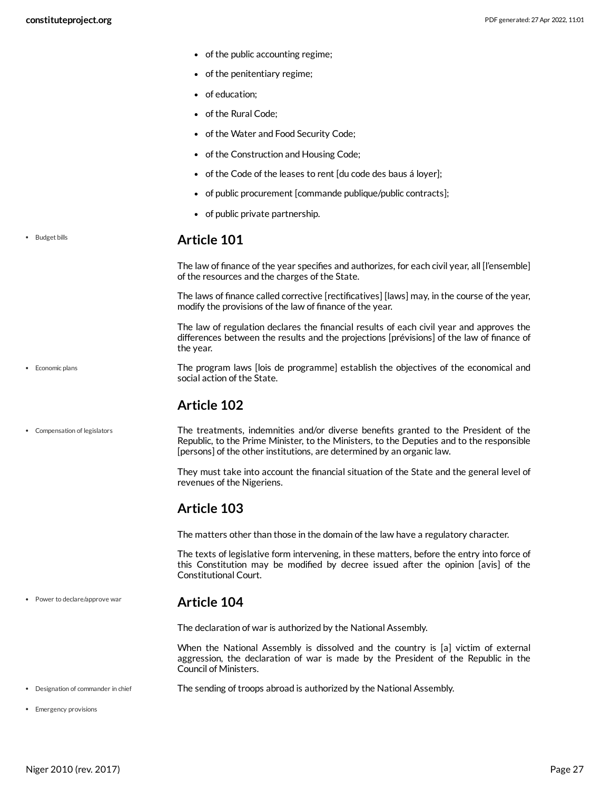• Budget bills

• Economic plans

- of the public accounting regime;
- of the penitentiary regime;
- of education;
- of the Rural Code;
- of the Water and Food Security Code;
- of the Construction and Housing Code;
- of the Code of the leases to rent [du code des baus á loyer];
- of public procurement [commande publique/public contracts];
- of public private partnership.

#### **Article 101**

<span id="page-26-0"></span>The law of finance of the year specifies and authorizes, for each civil year, all [l'ensemble] of the resources and the charges of the State.

The laws of finance called corrective [rectificatives] [laws] may, in the course of the year, modify the provisions of the law of finance of the year.

The law of regulation declares the financial results of each civil year and approves the differences between the results and the projections [prévisions] of the law of finance of the year.

<span id="page-26-6"></span>The program laws [lois de programme] establish the objectives of the economical and social action of the State.

## <span id="page-26-4"></span><span id="page-26-1"></span>**Article 102**

The treatments, indemnities and/or diverse benefits granted to the President of the Republic, to the Prime Minister, to the Ministers, to the Deputies and to the responsible [persons] of the other institutions, are determined by an organic law. Compensation of legislators

> They must take into account the financial situation of the State and the general level of revenues of the Nigeriens.

## <span id="page-26-2"></span>**Article 103**

The matters other than those in the domain of the law have a regulatory character.

The texts of legislative form intervening, in these matters, before the entry into force of this Constitution may be modified by decree issued after the opinion [avis] of the Constitutional Court.

#### **Article 104** Power to declare/approve war

<span id="page-26-3"></span>The declaration of war is authorized by the National Assembly.

<span id="page-26-7"></span><span id="page-26-5"></span>When the National Assembly is dissolved and the country is [a] victim of external aggression, the declaration of war is made by the President of the Republic in the Council of Ministers.

- The sending of troops abroad is authorized by the National Assembly. Designation of commander in chief
- Emergency provisions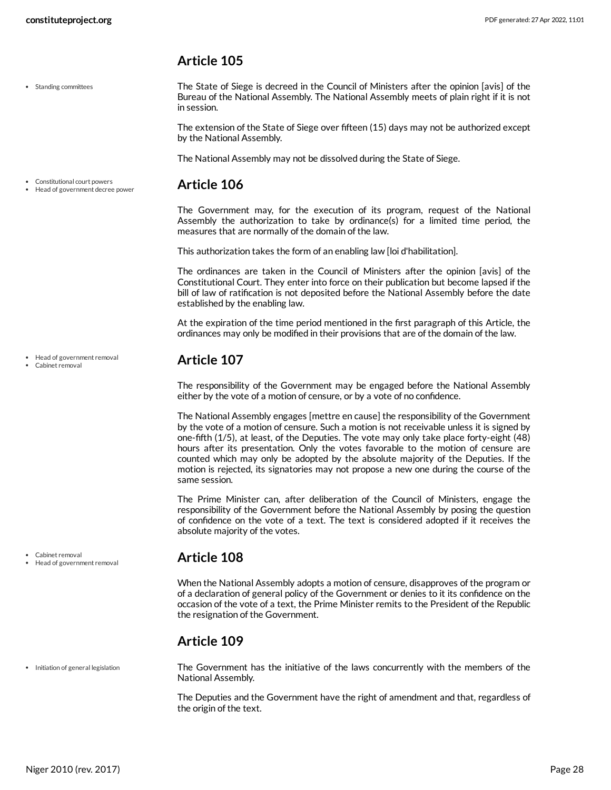## <span id="page-27-0"></span>**Article 105**

• Standing committees

<span id="page-27-6"></span>The State of Siege is decreed in the Council of Ministers after the opinion [avis] of the Bureau of the National Assembly. The National Assembly meets of plain right if it is not in session.

The extension of the State of Siege over fifteen (15) days may not be authorized except by the National Assembly.

<span id="page-27-1"></span>The National Assembly may not be dissolved during the State of Siege.

#### **Article 106** Constitutional court powers Head of government decree power

The Government may, for the execution of its program, request of the National Assembly the authorization to take by ordinance(s) for a limited time period, the measures that are normally of the domain of the law.

This authorization takes the form of an enabling law [loi d'habilitation].

The ordinances are taken in the Council of Ministers after the opinion [avis] of the Constitutional Court. They enter into force on their publication but become lapsed if the bill of law of ratification is not deposited before the National Assembly before the date established by the enabling law.

At the expiration of the time period mentioned in the first paragraph of this Article, the ordinances may only be modified in their provisions that are of the domain of the law.

## <span id="page-27-2"></span>**Article 107**

The responsibility of the Government may be engaged before the National Assembly either by the vote of a motion of censure, or by a vote of no confidence.

The National Assembly engages [mettre en cause] the responsibility of the Government by the vote of a motion of censure. Such a motion is not receivable unless it is signed by one-fifth (1/5), at least, of the Deputies. The vote may only take place forty-eight (48) hours after its presentation. Only the votes favorable to the motion of censure are counted which may only be adopted by the absolute majority of the Deputies. If the motion is rejected, its signatories may not propose a new one during the course of the same session.

The Prime Minister can, after deliberation of the Council of Ministers, engage the responsibility of the Government before the National Assembly by posing the question of confidence on the vote of a text. The text is considered adopted if it receives the absolute majority of the votes.

## <span id="page-27-3"></span>**Article 108**

When the National Assembly adopts a motion of censure, disapproves of the program or of a declaration of general policy of the Government or denies to it its confidence on the occasion of the vote of a text, the Prime Minister remits to the President of the Republic the resignation of the Government.

## <span id="page-27-4"></span>**Article 109**

<span id="page-27-5"></span>The Government has the initiative of the laws concurrently with the members of the National Assembly.

The Deputies and the Government have the right of amendment and that, regardless of the origin of the text.

Head of government removal

Cabinet removal

Cabinet removal

• Initiation of general legislation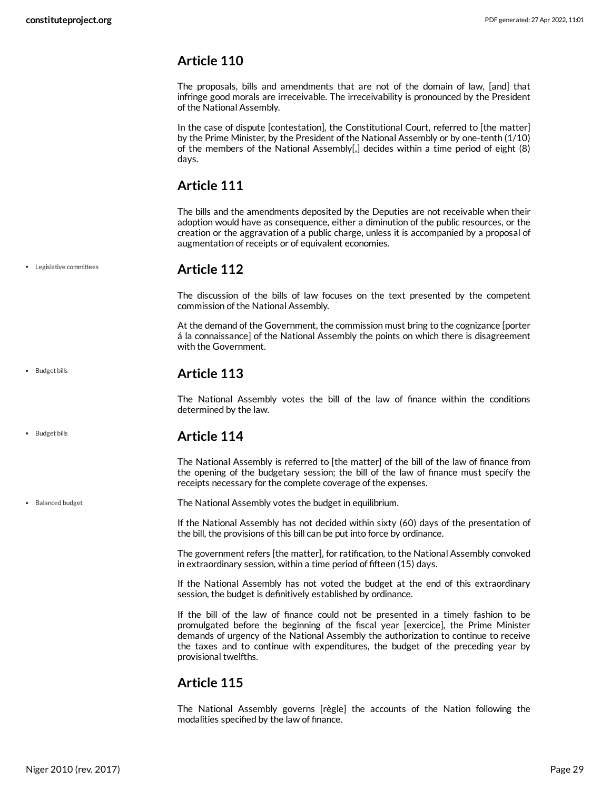Legislative committees

• Budget bills

• Budget bills

• Balanced budget

## <span id="page-28-0"></span>**Article 110**

The proposals, bills and amendments that are not of the domain of law, [and] that infringe good morals are irreceivable. The irreceivability is pronounced by the President of the National Assembly.

In the case of dispute [contestation], the Constitutional Court, referred to [the matter] by the Prime Minister, by the President of the National Assembly or by one-tenth (1/10) of the members of the National Assembly[,] decides within a time period of eight (8) days.

## <span id="page-28-1"></span>**Article 111**

The bills and the amendments deposited by the Deputies are not receivable when their adoption would have as consequence, either a diminution of the public resources, or the creation or the aggravation of a public charge, unless it is accompanied by a proposal of augmentation of receipts or of equivalent economies.

#### **Article 112**

<span id="page-28-2"></span>The discussion of the bills of law focuses on the text presented by the competent commission of the National Assembly.

At the demand of the Government, the commission must bring to the cognizance [porter á la connaissance] of the National Assembly the points on which there is disagreement with the Government.

## <span id="page-28-3"></span>**Article 113**

The National Assembly votes the bill of the law of finance within the conditions determined by the law.

## **Article 114**

<span id="page-28-4"></span>The National Assembly is referred to [the matter] of the bill of the law of finance from the opening of the budgetary session; the bill of the law of finance must specify the receipts necessary for the complete coverage of the expenses.

<span id="page-28-6"></span>The National Assembly votes the budget in equilibrium.

If the National Assembly has not decided within sixty (60) days of the presentation of the bill, the provisions of this bill can be put into force by ordinance.

The government refers [the matter], for ratification, to the National Assembly convoked in extraordinary session, within a time period of fifteen (15) days.

If the National Assembly has not voted the budget at the end of this extraordinary session, the budget is definitively established by ordinance.

If the bill of the law of finance could not be presented in a timely fashion to be promulgated before the beginning of the fiscal year [exercice], the Prime Minister demands of urgency of the National Assembly the authorization to continue to receive the taxes and to continue with expenditures, the budget of the preceding year by provisional twelfths.

## <span id="page-28-5"></span>**Article 115**

The National Assembly governs [règle] the accounts of the Nation following the modalities specified by the law of finance.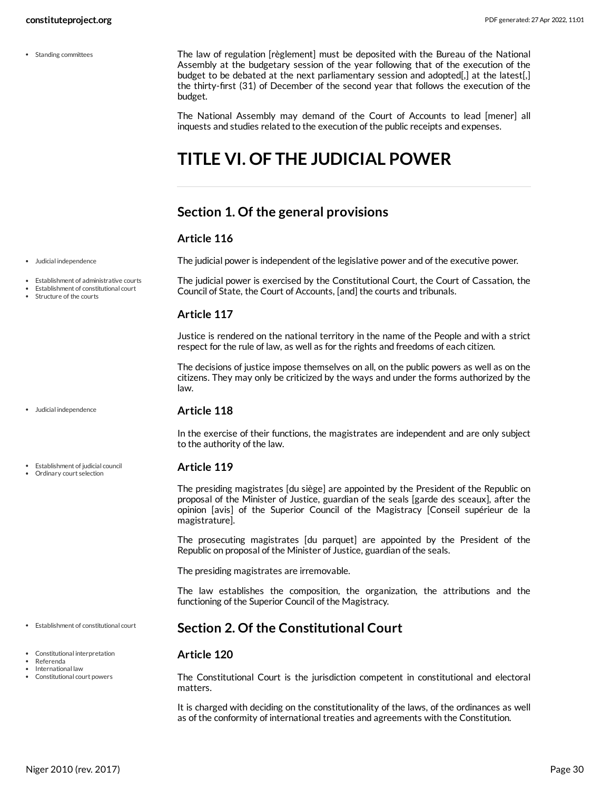• Standing committees

<span id="page-29-7"></span>The law of regulation [règlement] must be deposited with the Bureau of the National Assembly at the budgetary session of the year following that of the execution of the budget to be debated at the next parliamentary session and adopted[,] at the latest[,] the thirty-first (31) of December of the second year that follows the execution of the budget.

The National Assembly may demand of the Court of Accounts to lead [mener] all inquests and studies related to the execution of the public receipts and expenses.

# <span id="page-29-0"></span>**TITLE VI. OF THE JUDICIAL POWER**

## <span id="page-29-1"></span>**Section 1. Of the general provisions**

#### **Article 116**

<span id="page-29-6"></span>The judicial power is independent of the legislative power and of the executive power.

<span id="page-29-4"></span>The judicial power is exercised by the Constitutional Court, the Court of Cassation, the Council of State, the Court of Accounts, [and] the courts and tribunals.

#### **Article 117**

Justice is rendered on the national territory in the name of the People and with a strict respect for the rule of law, as well as for the rights and freedoms of each citizen.

The decisions of justice impose themselves on all, on the public powers as well as on the citizens. They may only be criticized by the ways and under the forms authorized by the law.

#### **Article 118**

In the exercise of their functions, the magistrates are independent and are only subject to the authority of the law.

#### <span id="page-29-5"></span>**Article 119**

The presiding magistrates [du siège] are appointed by the President of the Republic on proposal of the Minister of Justice, guardian of the seals [garde des sceaux], after the opinion [avis] of the Superior Council of the Magistracy [Conseil supérieur de la magistrature].

The prosecuting magistrates [du parquet] are appointed by the President of the Republic on proposal of the Minister of Justice, guardian of the seals.

The presiding magistrates are irremovable.

The law establishes the composition, the organization, the attributions and the functioning of the Superior Council of the Magistracy.

#### <span id="page-29-2"></span>**Section 2. Of the Constitutional Court**

#### <span id="page-29-3"></span>**Article 120**

The Constitutional Court is the jurisdiction competent in constitutional and electoral matters.

It is charged with deciding on the constitutionality of the laws, of the ordinances as well as of the conformity of international treaties and agreements with the Constitution.

Judicial independence

- Establishment of administrative courts
- Establishment of constitutional court
- Structure of the courts

- Judicial independence
- Ordinary court selection

Establishment of judicial council

- Establishment of constitutional court
- Constitutional interpretation
- Referenda International law
- Constitutional court powers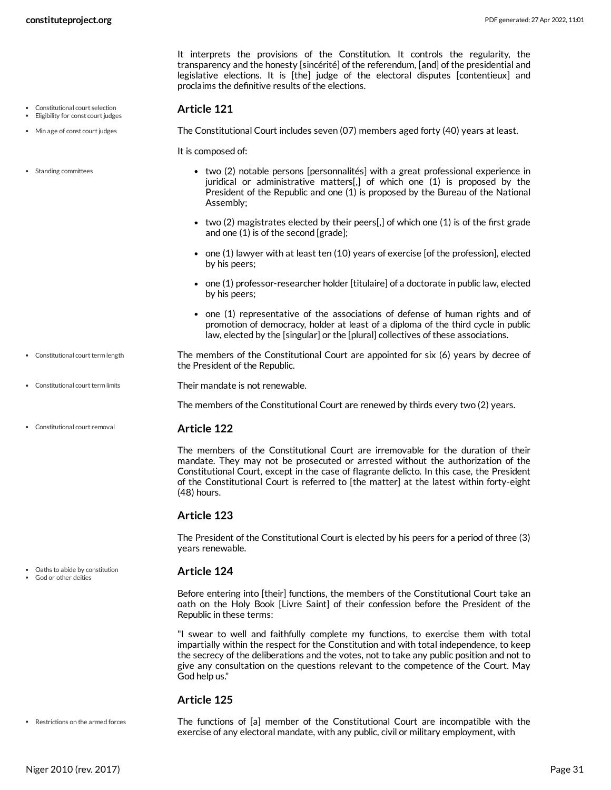It interprets the provisions of the Constitution. It controls the regularity, the transparency and the honesty [sincérité] of the referendum, [and] of the presidential and legislative elections. It is [the] judge of the electoral disputes [contentieux] and proclaims the definitive results of the elections.

#### <span id="page-30-1"></span>**Article 121**

<span id="page-30-5"></span>The Constitutional Court includes seven (07) members aged forty (40) years at least.

<span id="page-30-7"></span>It is composed of:

- two (2) notable persons [personnalités] with a great professional experience in juridical or administrative matters[,] of which one (1) is proposed by the President of the Republic and one (1) is proposed by the Bureau of the National Assembly;
- two (2) magistrates elected by their peers[,] of which one (1) is of the first grade and one (1) is of the second [grade];
- $\bullet$  one (1) lawyer with at least ten (10) years of exercise [of the profession], elected by his peers;
- $\bullet$  one (1) professor-researcher holder [titulaire] of a doctorate in public law, elected by his peers;
- one (1) representative of the associations of defense of human rights and of promotion of democracy, holder at least of a diploma of the third cycle in public law, elected by the [singular] or the [plural] collectives of these associations.
- The members of the Constitutional Court are appointed for six (6) years by decree of the President of the Republic. • Constitutional court term length
- 

<span id="page-30-3"></span><span id="page-30-2"></span>Their mandate is not renewable.

<span id="page-30-0"></span>The members of the Constitutional Court are renewed by thirds every two (2) years.

#### **Article 122**

The members of the Constitutional Court are irremovable for the duration of their mandate. They may not be prosecuted or arrested without the authorization of the Constitutional Court, except in the case of flagrante delicto. In this case, the President of the Constitutional Court is referred to [the matter] at the latest within forty-eight (48) hours.

#### **Article 123**

The President of the Constitutional Court is elected by his peers for a period of three (3) years renewable.

#### <span id="page-30-4"></span>**Article 124**

Before entering into [their] functions, the members of the Constitutional Court take an oath on the Holy Book [Livre Saint] of their confession before the President of the Republic in these terms:

"I swear to well and faithfully complete my functions, to exercise them with total impartially within the respect for the Constitution and with total independence, to keep the secrecy of the deliberations and the votes, not to take any public position and not to give any consultation on the questions relevant to the competence of the Court. May God help us."

#### <span id="page-30-6"></span>**Article 125**

Restrictions on the armed forces

The functions of [a] member of the Constitutional Court are incompatible with the exercise of any electoral mandate, with any public, civil or military employment, with

• Standing committees

Constitutional court selection Eligibility for const court judges • Min age of const court judges

- $\bullet$  Constitutional court term limits
- Constitutional court removal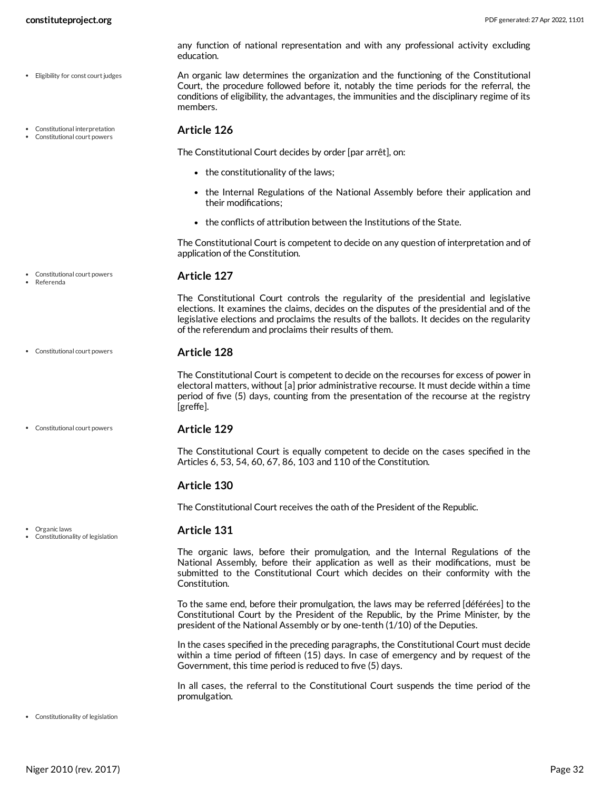Constitutional court powers

Referenda

Organic laws

Constitutionality of legislation

<span id="page-31-0"></span>members.

education.

The Constitutional Court decides by order [par arrêt], on:

- $\bullet$  the constitutionality of the laws;
- the Internal Regulations of the National Assembly before their application and their modifications;

any function of national representation and with any professional activity excluding

<span id="page-31-2"></span>An organic law determines the organization and the functioning of the Constitutional Court, the procedure followed before it, notably the time periods for the referral, the conditions of eligibility, the advantages, the immunities and the disciplinary regime of its

the conflicts of attribution between the Institutions of the State.

The Constitutional Court is competent to decide on any question of interpretation and of application of the Constitution.

#### <span id="page-31-3"></span>**Article 127**

The Constitutional Court controls the regularity of the presidential and legislative elections. It examines the claims, decides on the disputes of the presidential and of the legislative elections and proclaims the results of the ballots. It decides on the regularity of the referendum and proclaims their results of them.

#### **Article 128** Constitutional court powers

The Constitutional Court is competent to decide on the recourses for excess of power in electoral matters, without [a] prior administrative recourse. It must decide within a time period of five (5) days, counting from the presentation of the recourse at the registry [greffe].

#### **Article 129** Constitutional court powers

The Constitutional Court is equally competent to decide on the cases specified in the Articles 6, 53, 54, 60, 67, 86, 103 and 110 of the Constitution.

#### **Article 130**

The Constitutional Court receives the oath of the President of the Republic.

#### <span id="page-31-1"></span>**Article 131**

The organic laws, before their promulgation, and the Internal Regulations of the National Assembly, before their application as well as their modifications, must be submitted to the Constitutional Court which decides on their conformity with the Constitution.

To the same end, before their promulgation, the laws may be referred [déférées] to the Constitutional Court by the President of the Republic, by the Prime Minister, by the president of the National Assembly or by one-tenth (1/10) of the Deputies.

In the cases specified in the preceding paragraphs, the Constitutional Court must decide within a time period of fifteen (15) days. In case of emergency and by request of the Government, this time period is reduced to five (5) days.

In all cases, the referral to the Constitutional Court suspends the time period of the promulgation.

#### Constitutionality of legislation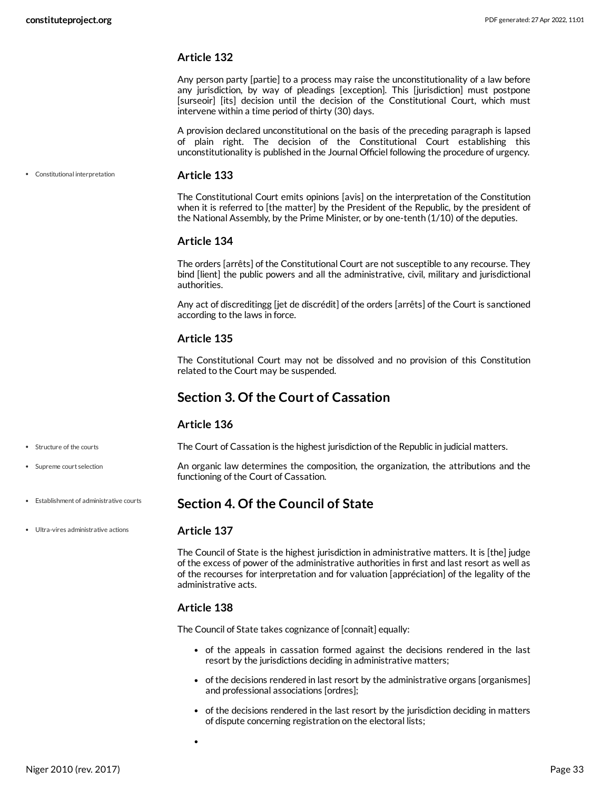#### **Article 132**

Any person party [partie] to a process may raise the unconstitutionality of a law before any jurisdiction, by way of pleadings [exception]. This [jurisdiction] must postpone [surseoir] [its] decision until the decision of the Constitutional Court, which must intervene within a time period of thirty (30) days.

A provision declared unconstitutional on the basis of the preceding paragraph is lapsed of plain right. The decision of the Constitutional Court establishing this unconstitutionality is published in the Journal Officiel following the procedure of urgency.

Constitutional interpretation

#### <span id="page-32-2"></span>**Article 133**

The Constitutional Court emits opinions [avis] on the interpretation of the Constitution when it is referred to [the matter] by the President of the Republic, by the president of the National Assembly, by the Prime Minister, or by one-tenth (1/10) of the deputies.

#### **Article 134**

The orders [arrêts] of the Constitutional Court are not susceptible to any recourse. They bind [lient] the public powers and all the administrative, civil, military and jurisdictional authorities.

Any act of discreditingg [jet de discrédit] of the orders [arrêts] of the Court is sanctioned according to the laws in force.

#### **Article 135**

The Constitutional Court may not be dissolved and no provision of this Constitution related to the Court may be suspended.

#### <span id="page-32-0"></span>**Section 3. Of the Court of Cassation**

#### <span id="page-32-3"></span>**Article 136**

- Structure of the courts
- Supreme court selection

The Court of Cassation is the highest jurisdiction of the Republic in judicial matters.

<span id="page-32-4"></span>An organic law determines the composition, the organization, the attributions and the functioning of the Court of Cassation.

#### <span id="page-32-1"></span>**Section 4. Of the Council of State**

Ultra-vires administrative actions

Establishment of administrative courts

#### <span id="page-32-5"></span>**Article 137**

The Council of State is the highest jurisdiction in administrative matters. It is [the] judge of the excess of power of the administrative authorities in first and last resort as well as of the recourses for interpretation and for valuation [appréciation] of the legality of the administrative acts.

#### **Article 138**

The Council of State takes cognizance of [connaît] equally:

- of the appeals in cassation formed against the decisions rendered in the last resort by the jurisdictions deciding in administrative matters;
- of the decisions rendered in last resort by the administrative organs [organismes] and professional associations [ordres];
- of the decisions rendered in the last resort by the jurisdiction deciding in matters of dispute concerning registration on the electoral lists;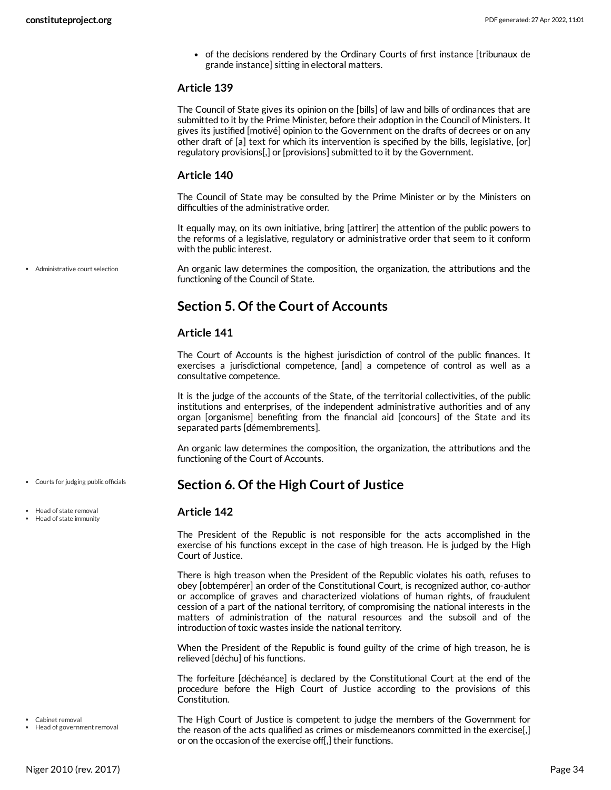of the decisions rendered by the Ordinary Courts of first instance [tribunaux de grande instance] sitting in electoral matters.

#### **Article 139**

The Council of State gives its opinion on the [bills] of law and bills of ordinances that are submitted to it by the Prime Minister, before their adoption in the Council of Ministers. It gives its justified [motivé] opinion to the Government on the drafts of decrees or on any other draft of [a] text for which its intervention is specified by the bills, legislative, [or] regulatory provisions[,] or [provisions] submitted to it by the Government.

#### **Article 140**

The Council of State may be consulted by the Prime Minister or by the Ministers on difficulties of the administrative order.

It equally may, on its own initiative, bring [attirer] the attention of the public powers to the reforms of a legislative, regulatory or administrative order that seem to it conform with the public interest.

Administrative court selection

<span id="page-33-2"></span>An organic law determines the composition, the organization, the attributions and the functioning of the Council of State.

## <span id="page-33-0"></span>**Section 5. Of the Court of Accounts**

#### **Article 141**

The Court of Accounts is the highest jurisdiction of control of the public finances. It exercises a jurisdictional competence, [and] a competence of control as well as a consultative competence.

It is the judge of the accounts of the State, of the territorial collectivities, of the public institutions and enterprises, of the independent administrative authorities and of any organ [organisme] benefiting from the financial aid [concours] of the State and its separated parts [démembrements].

An organic law determines the composition, the organization, the attributions and the functioning of the Court of Accounts.

## <span id="page-33-1"></span>**Section 6. Of the High Court of Justice**

#### <span id="page-33-4"></span>**Article 142**

The President of the Republic is not responsible for the acts accomplished in the exercise of his functions except in the case of high treason. He is judged by the High Court of Justice.

There is high treason when the President of the Republic violates his oath, refuses to obey [obtempérer] an order of the Constitutional Court, is recognized author, co-author or accomplice of graves and characterized violations of human rights, of fraudulent cession of a part of the national territory, of compromising the national interests in the matters of administration of the natural resources and the subsoil and of the introduction of toxic wastes inside the national territory.

When the President of the Republic is found guilty of the crime of high treason, he is relieved [déchu] of his functions.

The forfeiture [déchéance] is declared by the Constitutional Court at the end of the procedure before the High Court of Justice according to the provisions of this Constitution.

<span id="page-33-3"></span>The High Court of Justice is competent to judge the members of the Government for the reason of the acts qualified as crimes or misdemeanors committed in the exercise[,] or on the occasion of the exercise off[,] their functions.

Courts for judging public officials

• Head of state removal Head of state immunity

Cabinet removal

• Head of government removal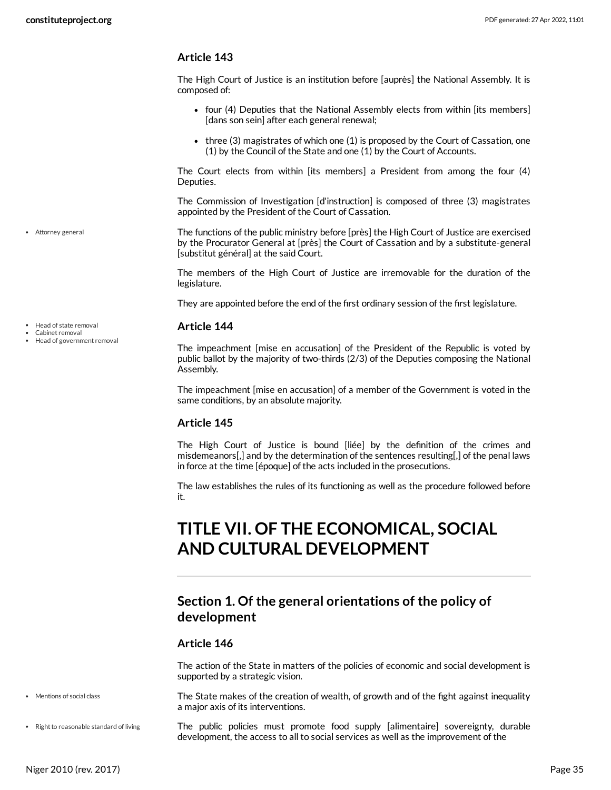#### **Article 143**

The High Court of Justice is an institution before [auprès] the National Assembly. It is composed of:

- four (4) Deputies that the National Assembly elects from within [its members] [dans son sein] after each general renewal;
- three (3) magistrates of which one (1) is proposed by the Court of Cassation, one (1) by the Council of the State and one (1) by the Court of Accounts.

The Court elects from within [its members] a President from among the four (4) Deputies.

The Commission of Investigation [d'instruction] is composed of three (3) magistrates appointed by the President of the Court of Cassation.

<span id="page-34-2"></span>The functions of the public ministry before [près] the High Court of Justice are exercised by the Procurator General at [près] the Court of Cassation and by a substitute-general [substitut général] at the said Court.

The members of the High Court of Justice are irremovable for the duration of the legislature.

They are appointed before the end of the first ordinary session of the first legislature.

#### <span id="page-34-3"></span>**Article 144**

The impeachment [mise en accusation] of the President of the Republic is voted by public ballot by the majority of two-thirds (2/3) of the Deputies composing the National Assembly.

The impeachment [mise en accusation] of a member of the Government is voted in the same conditions, by an absolute majority.

#### **Article 145**

The High Court of Justice is bound [liée] by the definition of the crimes and misdemeanors[,] and by the determination of the sentences resulting[,] of the penal laws in force at the time [époque] of the acts included in the prosecutions.

The law establishes the rules of its functioning as well as the procedure followed before it.

# <span id="page-34-0"></span>**TITLE VII. OF THE ECONOMICAL, SOCIAL AND CULTURAL DEVELOPMENT**

## <span id="page-34-1"></span>**Section 1. Of the general orientations of the policy of development**

#### **Article 146**

The action of the State in matters of the policies of economic and social development is supported by a strategic vision.

<span id="page-34-4"></span>The State makes of the creation of wealth, of growth and of the fight against inequality a major axis of its interventions.

<span id="page-34-5"></span>The public policies must promote food supply [alimentaire] sovereignty, durable development, the access to all to social services as well as the improvement of the

Attorney general

- Head of state removal
- Cabinet removal
- Head of government removal

• Right to reasonable standard of living

• Mentions of social class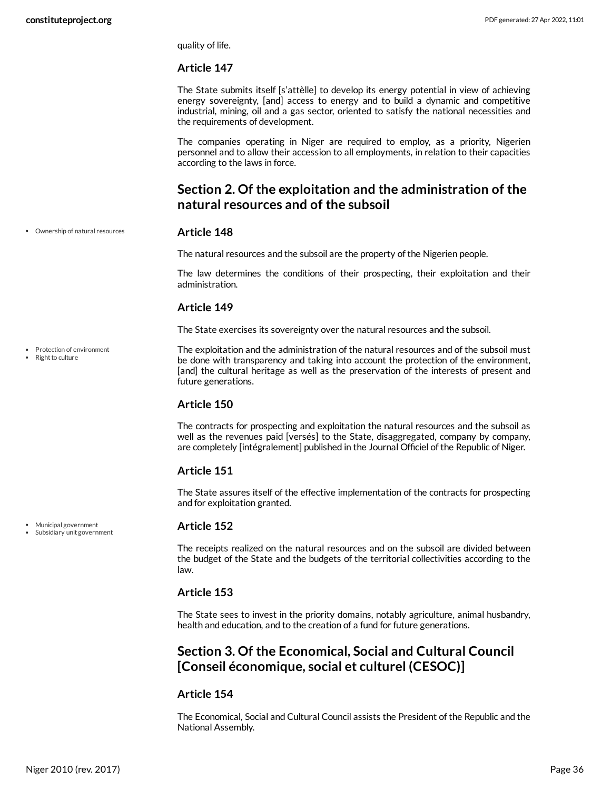quality of life.

#### **Article 147**

The State submits itself [s'attèlle] to develop its energy potential in view of achieving energy sovereignty, [and] access to energy and to build a dynamic and competitive industrial, mining, oil and a gas sector, oriented to satisfy the national necessities and the requirements of development.

The companies operating in Niger are required to employ, as a priority, Nigerien personnel and to allow their accession to all employments, in relation to their capacities according to the laws in force.

## <span id="page-35-0"></span>**Section 2. Of the exploitation and the administration of the natural resources and of the subsoil**

Ownership of natural resources

#### <span id="page-35-3"></span>**Article 148**

The natural resources and the subsoil are the property of the Nigerien people.

The law determines the conditions of their prospecting, their exploitation and their administration.

#### **Article 149**

The State exercises its sovereignty over the natural resources and the subsoil.

<span id="page-35-4"></span>The exploitation and the administration of the natural resources and of the subsoil must be done with transparency and taking into account the protection of the environment, [and] the cultural heritage as well as the preservation of the interests of present and future generations.

## **Article 150**

The contracts for prospecting and exploitation the natural resources and the subsoil as well as the revenues paid [versés] to the State, disaggregated, company by company, are completely [intégralement] published in the Journal Officiel of the Republic of Niger.

#### **Article 151**

The State assures itself of the effective implementation of the contracts for prospecting and for exploitation granted.

#### <span id="page-35-2"></span>**Article 152**

The receipts realized on the natural resources and on the subsoil are divided between the budget of the State and the budgets of the territorial collectivities according to the law.

#### **Article 153**

The State sees to invest in the priority domains, notably agriculture, animal husbandry, health and education, and to the creation of a fund for future generations.

## <span id="page-35-1"></span>**Section 3. Of the Economical, Social and Cultural Council [Conseil économique, social et culturel (CESOC)]**

#### **Article 154**

The Economical, Social and Cultural Council assists the President of the Republic and the National Assembly.

Municipal government

• Protection of environment Right to culture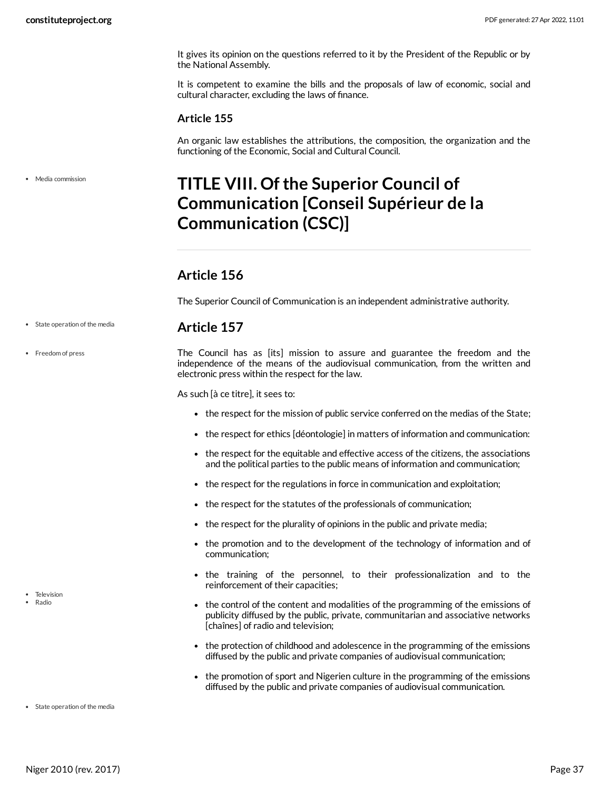It gives its opinion on the questions referred to it by the President of the Republic or by the National Assembly.

It is competent to examine the bills and the proposals of law of economic, social and cultural character, excluding the laws of finance.

#### **Article 155**

An organic law establishes the attributions, the composition, the organization and the functioning of the Economic, Social and Cultural Council.

• Media commission

# <span id="page-36-0"></span>**TITLE VIII. Ofthe Superior Council of Communication [Conseil Supérieur de la Communication (CSC)]**

## <span id="page-36-1"></span>**Article 156**

The Superior Council of Communication is an independent administrative authority.

#### <span id="page-36-2"></span>**Article 157**

<span id="page-36-3"></span>The Council has as [its] mission to assure and guarantee the freedom and the independence of the means of the audiovisual communication, from the written and electronic press within the respect for the law.

As such [à ce titre], it sees to:

- the respect for the mission of public service conferred on the medias of the State;
- the respect for ethics [déontologie] in matters of information and communication:
- the respect for the equitable and effective access of the citizens, the associations and the political parties to the public means of information and communication;
- the respect for the regulations in force in communication and exploitation;
- the respect for the statutes of the professionals of communication;
- the respect for the plurality of opinions in the public and private media;
- the promotion and to the development of the technology of information and of communication;
- the training of the personnel, to their professionalization and to the reinforcement of their capacities;
- <span id="page-36-4"></span>• the control of the content and modalities of the programming of the emissions of publicity diffused by the public, private, communitarian and associative networks [chaînes] of radio and television;
- the protection of childhood and adolescence in the programming of the emissions diffused by the public and private companies of audiovisual communication;
- the promotion of sport and Nigerien culture in the programming of the emissions diffused by the public and private companies of audiovisual communication.

State operation of the media

• Freedom of press

• Television

Radio

State operation of the media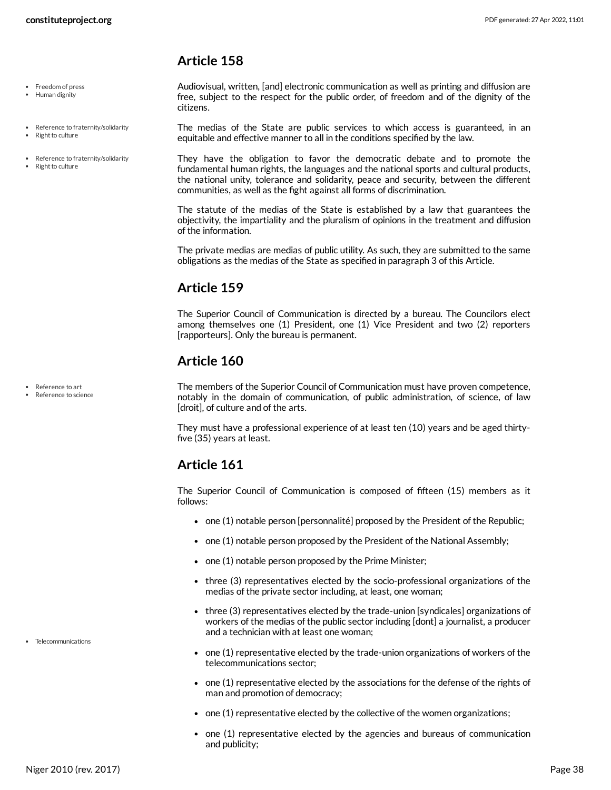## <span id="page-37-0"></span>**Article 158**

• Freedom of press

- Human dignity
- Reference to fraternity/solidarity
- Right to culture
- Reference to fraternity/solidarity
- Right to culture

<span id="page-37-4"></span>Audiovisual, written, [and] electronic communication as well as printing and diffusion are free, subject to the respect for the public order, of freedom and of the dignity of the citizens.

<span id="page-37-6"></span>The medias of the State are public services to which access is guaranteed, in an equitable and effective manner to all in the conditions specified by the law.

They have the obligation to favor the democratic debate and to promote the fundamental human rights, the languages and the national sports and cultural products, the national unity, tolerance and solidarity, peace and security, between the different communities, as well as the fight against all forms of discrimination.

The statute of the medias of the State is established by a law that guarantees the objectivity, the impartiality and the pluralism of opinions in the treatment and diffusion of the information.

The private medias are medias of public utility. As such, they are submitted to the same obligations as the medias of the State as specified in paragraph 3 of this Article.

## <span id="page-37-1"></span>**Article 159**

The Superior Council of Communication is directed by a bureau. The Councilors elect among themselves one (1) President, one (1) Vice President and two (2) reporters [rapporteurs]. Only the bureau is permanent.

## <span id="page-37-2"></span>**Article 160**

<span id="page-37-5"></span>The members of the Superior Council of Communication must have proven competence, notably in the domain of communication, of public administration, of science, of law [droit], of culture and of the arts.

They must have a professional experience of at least ten (10) years and be aged thirty five (35) years at least.

## <span id="page-37-3"></span>**Article 161**

The Superior Council of Communication is composed of fifteen (15) members as it follows:

- $\bullet$  one (1) notable person [personnalité] proposed by the President of the Republic;
- $\bullet$  one (1) notable person proposed by the President of the National Assembly;
- $\bullet$  one (1) notable person proposed by the Prime Minister;
- three (3) representatives elected by the socio-professional organizations of the medias of the private sector including, at least, one woman;
- three (3) representatives elected by the trade-union [syndicales] organizations of workers of the medias of the public sector including [dont] a journalist, a producer and a technician with at least one woman;
- <span id="page-37-7"></span> $\bullet$  one (1) representative elected by the trade-union organizations of workers of the telecommunications sector;
- $\bullet$  one (1) representative elected by the associations for the defense of the rights of man and promotion of democracy;
- one (1) representative elected by the collective of the women organizations;
- one (1) representative elected by the agencies and bureaus of communication and publicity;

Reference to art Reference to science

• Telecommunications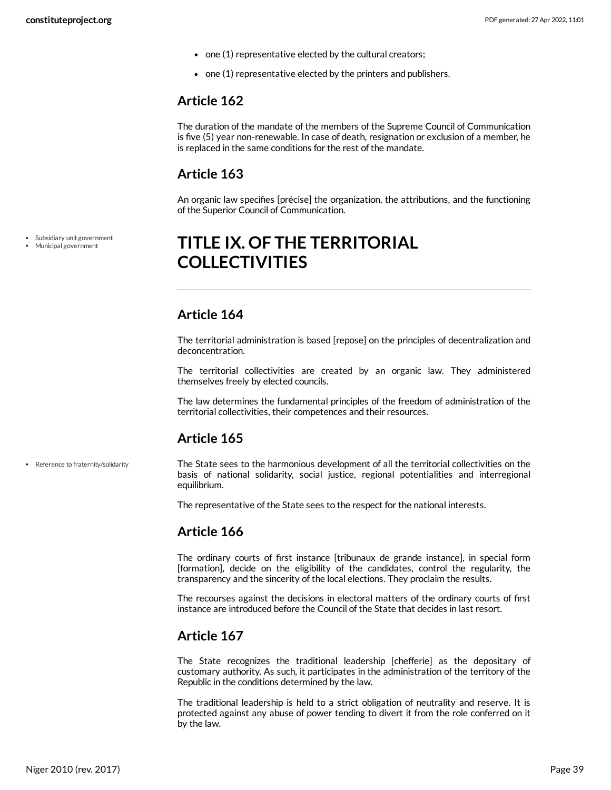- one (1) representative elected by the cultural creators;
- $\bullet$  one (1) representative elected by the printers and publishers.

## <span id="page-38-0"></span>**Article 162**

The duration of the mandate of the members of the Supreme Council of Communication is five (5) year non-renewable. In case of death, resignation or exclusion of a member, he is replaced in the same conditions for the rest of the mandate.

## <span id="page-38-1"></span>**Article 163**

An organic law specifies [précise] the organization, the attributions, and the functioning of the Superior Council of Communication.

# <span id="page-38-2"></span>**TITLE IX. OF THE TERRITORIAL COLLECTIVITIES**

## <span id="page-38-3"></span>**Article 164**

The territorial administration is based [repose] on the principles of decentralization and deconcentration.

The territorial collectivities are created by an organic law. They administered themselves freely by elected councils.

The law determines the fundamental principles of the freedom of administration of the territorial collectivities, their competences and their resources.

## <span id="page-38-4"></span>**Article 165**

<span id="page-38-7"></span>The State sees to the harmonious development of all the territorial collectivities on the basis of national solidarity, social justice, regional potentialities and interregional equilibrium.

The representative of the State sees to the respect for the national interests.

## <span id="page-38-5"></span>**Article 166**

The ordinary courts of first instance [tribunaux de grande instance], in special form [formation], decide on the eligibility of the candidates, control the regularity, the transparency and the sincerity of the local elections. They proclaim the results.

The recourses against the decisions in electoral matters of the ordinary courts of first instance are introduced before the Council of the State that decides in last resort.

## <span id="page-38-6"></span>**Article 167**

The State recognizes the traditional leadership [chefferie] as the depositary of customary authority. As such, it participates in the administration of the territory of the Republic in the conditions determined by the law.

The traditional leadership is held to a strict obligation of neutrality and reserve. It is protected against any abuse of power tending to divert it from the role conferred on it by the law.

Subsidiary unit government Municipal government

• Reference to fraternity/solidarity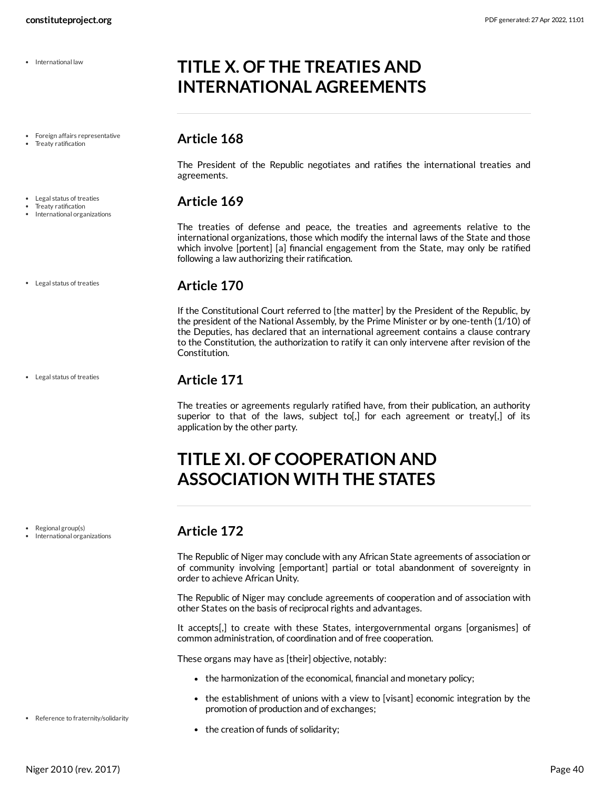International law

Foreign affairs representative

- Treaty ratification
- Legal status of treaties Treaty ratification
- International organizations
- Legal status of treaties

Legal status of treaties

Regional group(s) International organizations <span id="page-39-3"></span>**Article 170**

following a law authorizing their ratification.

<span id="page-39-1"></span>**Article 168**

agreements.

<span id="page-39-2"></span>**Article 169**

If the Constitutional Court referred to [the matter] by the President of the Republic, by the president of the National Assembly, by the Prime Minister or by one-tenth (1/10) of the Deputies, has declared that an international agreement contains a clause contrary to the Constitution, the authorization to ratify it can only intervene after revision of the Constitution.

The President of the Republic negotiates and ratifies the international treaties and

The treaties of defense and peace, the treaties and agreements relative to the

## <span id="page-39-4"></span>**Article 171**

The treaties or agreements regularly ratified have, from their publication, an authority superior to that of the laws, subject to[,] for each agreement or treaty[,] of its application by the other party.

# <span id="page-39-5"></span>**TITLE XI. OF COOPERATION AND ASSOCIATION WITH THE STATES**

<span id="page-39-8"></span><span id="page-39-0"></span>**TITLE X. OF THE TREATIES AND INTERNATIONAL AGREEMENTS**

## <span id="page-39-6"></span>**Article 172**

The Republic of Niger may conclude with any African State agreements of association or of community involving [emportant] partial or total abandonment of sovereignty in order to achieve African Unity.

The Republic of Niger may conclude agreements of cooperation and of association with other States on the basis of reciprocal rights and advantages.

It accepts[,] to create with these States, intergovernmental organs [organismes] of common administration, of coordination and of free cooperation.

These organs may have as [their] objective, notably:

- the harmonization of the economical, financial and monetary policy;
- the establishment of unions with a view to [visant] economic integration by the promotion of production and of exchanges;
- <span id="page-39-7"></span>• the creation of funds of solidarity;
- Reference to fraternity/solidarity

#### international organizations, those which modify the internal laws of the State and those which involve [portent] [a] financial engagement from the State, may only be ratified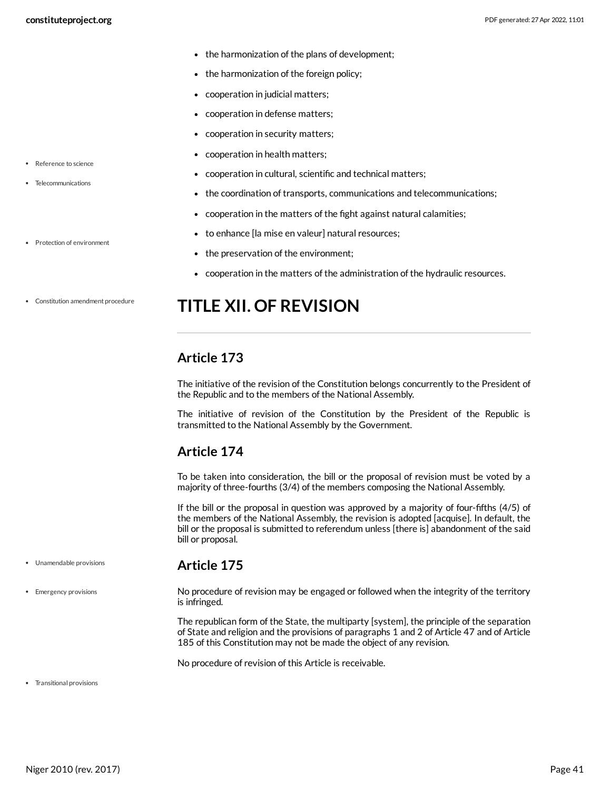Reference to science • Telecommunications

• Protection of environment

- the harmonization of the plans of development;
- the harmonization of the foreign policy;
- cooperation in judicial matters;
- cooperation in defense matters;
- cooperation in security matters;
- cooperation in health matters;
- <span id="page-40-6"></span>cooperation in cultural, scientific and technical matters;
- <span id="page-40-7"></span>the coordination of transports, communications and telecommunications;
- cooperation in the matters of the fight against natural calamities;
- to enhance [la mise en valeur] natural resources;
- <span id="page-40-5"></span>• the preservation of the environment;
- cooperation in the matters of the administration of the hydraulic resources.
- Constitution amendment procedure

# <span id="page-40-0"></span>**TITLE XII. OF REVISION**

## <span id="page-40-1"></span>**Article 173**

The initiative of the revision of the Constitution belongs concurrently to the President of the Republic and to the members of the National Assembly.

The initiative of revision of the Constitution by the President of the Republic is transmitted to the National Assembly by the Government.

## <span id="page-40-2"></span>**Article 174**

<span id="page-40-3"></span>**Article 175**

To be taken into consideration, the bill or the proposal of revision must be voted by a majority of three-fourths (3/4) of the members composing the National Assembly.

If the bill or the proposal in question was approved by a majority of four-fifths (4/5) of the members of the National Assembly, the revision is adopted [acquise]. In default, the bill or the proposal is submitted to referendum unless [there is] abandonment of the said bill or proposal.

- Unamendable provisions
- Emergency provisions

<span id="page-40-4"></span>No procedure of revision may be engaged or followed when the integrity of the territory is infringed.

The republican form of the State, the multiparty [system], the principle of the separation of State and religion and the provisions of paragraphs 1 and 2 of Article 47 and of Article 185 of this Constitution may not be made the object of any revision.

<span id="page-40-8"></span>No procedure of revision of this Article is receivable.

Transitional provisions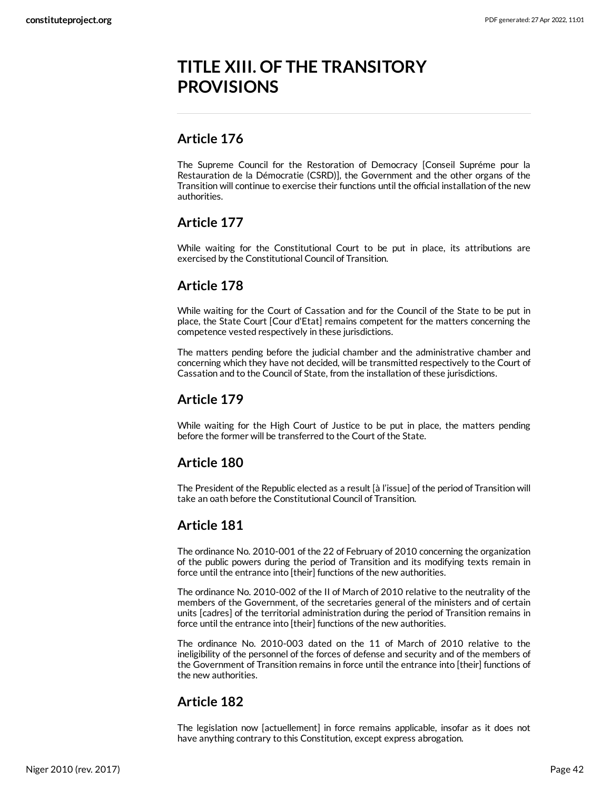# <span id="page-41-0"></span>**TITLE XIII. OF THE TRANSITORY PROVISIONS**

## <span id="page-41-1"></span>**Article 176**

The Supreme Council for the Restoration of Democracy [Conseil Supréme pour la Restauration de la Démocratie (CSRD)], the Government and the other organs of the Transition will continue to exercise their functions until the official installation of the new authorities.

## <span id="page-41-2"></span>**Article 177**

While waiting for the Constitutional Court to be put in place, its attributions are exercised by the Constitutional Council of Transition.

## <span id="page-41-3"></span>**Article 178**

While waiting for the Court of Cassation and for the Council of the State to be put in place, the State Court [Cour d'Etat] remains competent for the matters concerning the competence vested respectively in these jurisdictions.

The matters pending before the judicial chamber and the administrative chamber and concerning which they have not decided, will be transmitted respectively to the Court of Cassation and to the Council of State, from the installation of these jurisdictions.

## <span id="page-41-4"></span>**Article 179**

While waiting for the High Court of Justice to be put in place, the matters pending before the former will be transferred to the Court of the State.

## <span id="page-41-5"></span>**Article 180**

The President of the Republic elected as a result [à l'issue] of the period of Transition will take an oath before the Constitutional Council of Transition.

## <span id="page-41-6"></span>**Article 181**

The ordinance No. 2010-001 of the 22 of February of 2010 concerning the organization of the public powers during the period of Transition and its modifying texts remain in force until the entrance into [their] functions of the new authorities.

The ordinance No. 2010-002 of the II of March of 2010 relative to the neutrality of the members of the Government, of the secretaries general of the ministers and of certain units [cadres] of the territorial administration during the period of Transition remains in force until the entrance into [their] functions of the new authorities.

The ordinance No. 2010-003 dated on the 11 of March of 2010 relative to the ineligibility of the personnel of the forces of defense and security and of the members of the Government of Transition remains in force until the entrance into [their] functions of the new authorities.

## <span id="page-41-7"></span>**Article 182**

The legislation now [actuellement] in force remains applicable, insofar as it does not have anything contrary to this Constitution, except express abrogation.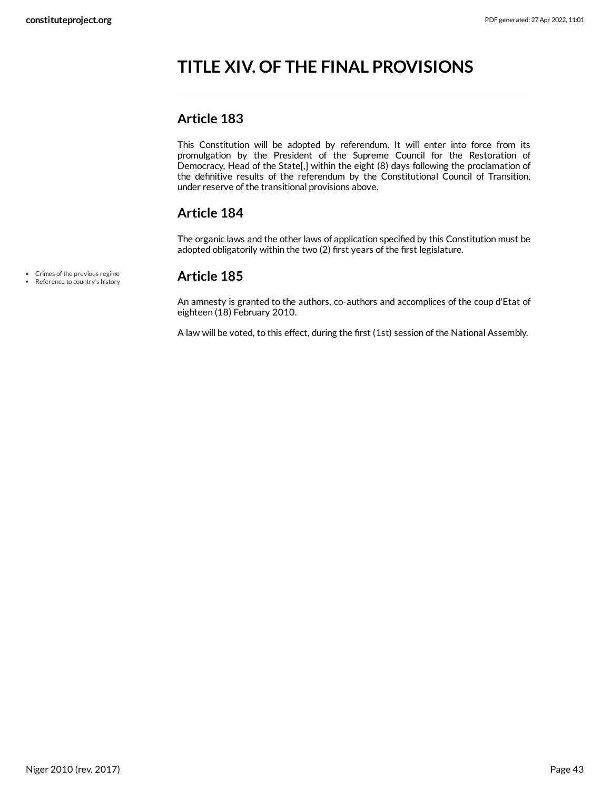# <span id="page-42-0"></span>**TITLE XIV. OF THE FINAL PROVISIONS**

## <span id="page-42-1"></span>**Article 183**

This Constitution will be adopted by referendum. It will enter into force from its promulgation by the President of the Supreme Council for the Restoration of Democracy, Head of the State[,] within the eight (8) days following the proclamation of the definitive results of the referendum by the Constitutional Council of Transition, under reserve of the transitional provisions above.

## <span id="page-42-2"></span>**Article 184**

The organic laws and the other laws of application specified by this Constitution must be adopted obligatorily within the two (2) first years of the first legislature.

Crimes of the previous regime • Reference to country's history

#### <span id="page-42-3"></span>**Article 185**

An amnesty is granted to the authors, co-authors and accomplices of the coup d'Etat of eighteen (18) February 2010.

A law will be voted, to this effect, during the first (1st) session of the National Assembly.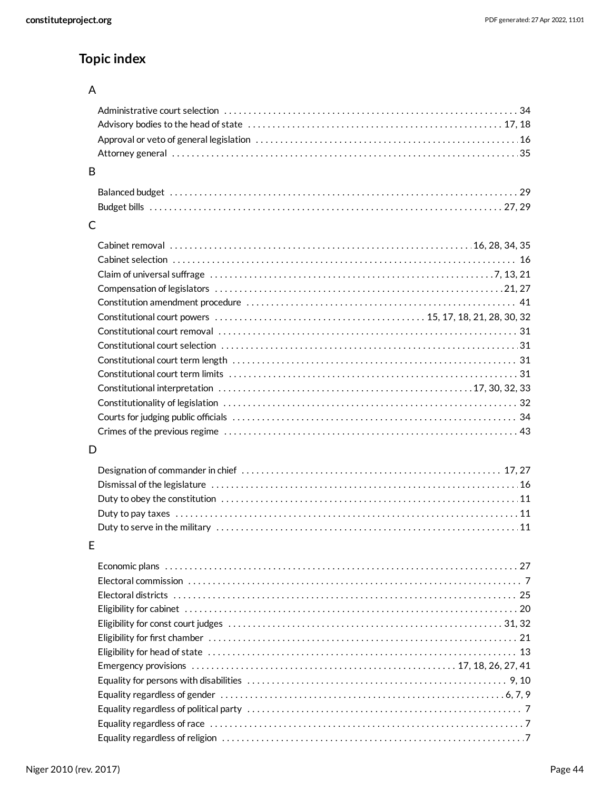# **Topic index**

## A

## B

## C

## D

## E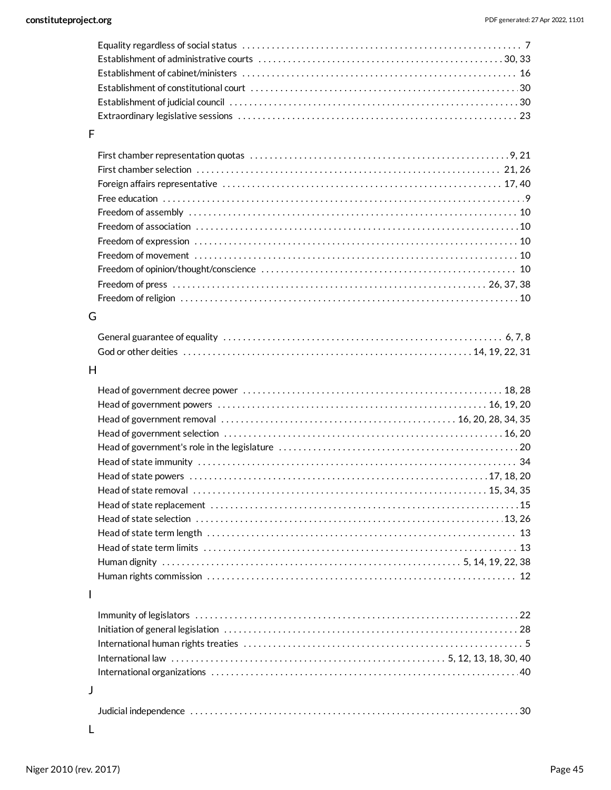## F

## G

#### H

## I

| $\mathsf{L}$ |  |
|--------------|--|

|--|--|--|--|--|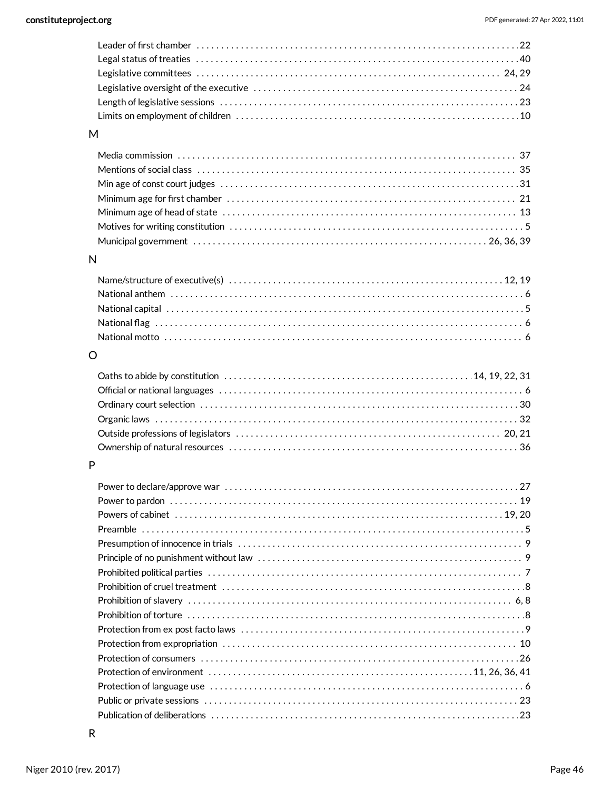| M        |  |
|----------|--|
|          |  |
|          |  |
|          |  |
|          |  |
|          |  |
|          |  |
|          |  |
| N        |  |
|          |  |
|          |  |
|          |  |
|          |  |
|          |  |
|          |  |
| $\Omega$ |  |
|          |  |
|          |  |
|          |  |
|          |  |
|          |  |
|          |  |
| P        |  |
|          |  |
|          |  |
|          |  |
|          |  |
|          |  |
|          |  |
|          |  |
|          |  |
|          |  |
|          |  |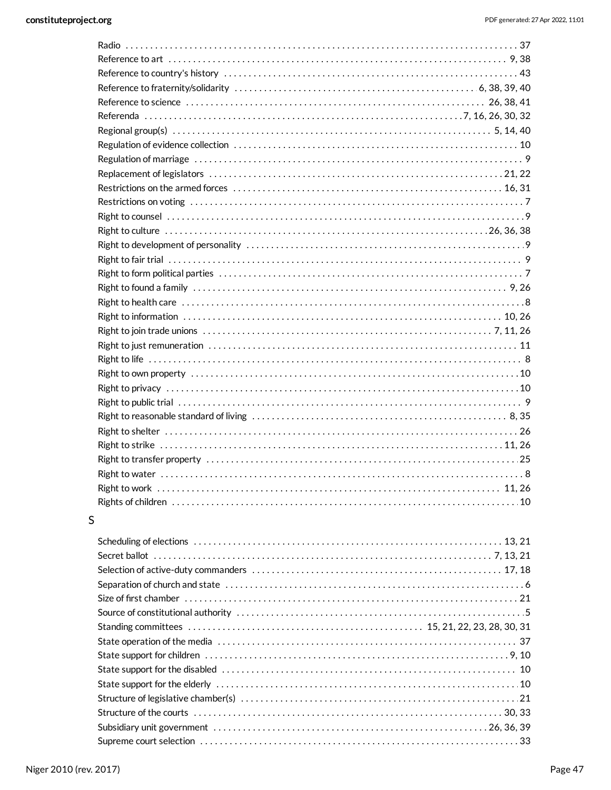#### $\sf S$